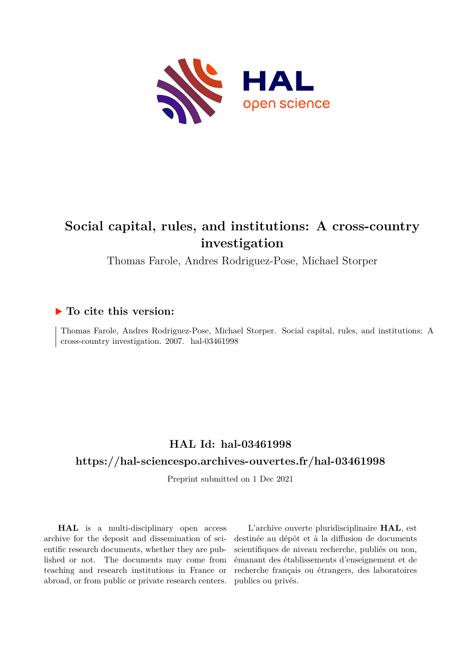

# **Social capital, rules, and institutions: A cross-country investigation**

Thomas Farole, Andres Rodriguez-Pose, Michael Storper

# **To cite this version:**

Thomas Farole, Andres Rodriguez-Pose, Michael Storper. Social capital, rules, and institutions: A  $cross-country$  investigation. 2007. hal-03461998

# **HAL Id: hal-03461998**

# **<https://hal-sciencespo.archives-ouvertes.fr/hal-03461998>**

Preprint submitted on 1 Dec 2021

**HAL** is a multi-disciplinary open access archive for the deposit and dissemination of scientific research documents, whether they are published or not. The documents may come from teaching and research institutions in France or abroad, or from public or private research centers.

L'archive ouverte pluridisciplinaire **HAL**, est destinée au dépôt et à la diffusion de documents scientifiques de niveau recherche, publiés ou non, émanant des établissements d'enseignement et de recherche français ou étrangers, des laboratoires publics ou privés.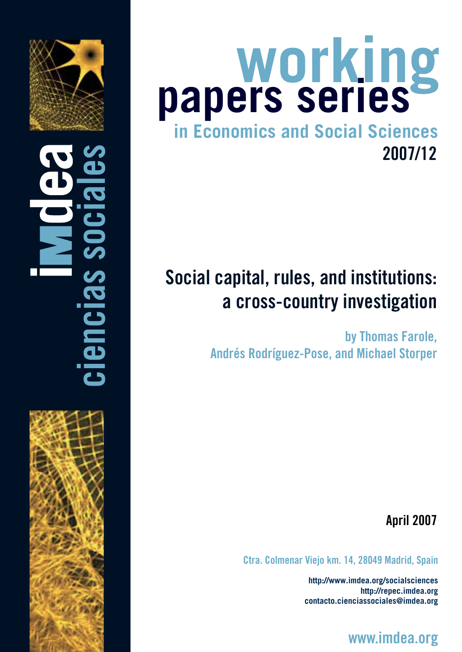

ciencias sociales

# **in Economics and Social Sciences working papers series** 2007/12

# Social capital, rules, and institutions: a cross-country investigation

by Thomas Farole, Andrés Rodríguez-Pose, and Michael Storper

April 2007

Ctra. Colmenar Viejo km. 14, 28049 Madrid, Spain

**http://www.imdea.org/socialsciences http://repec.imdea.org contacto.cienciassociales@imdea.org**

www.imdea.org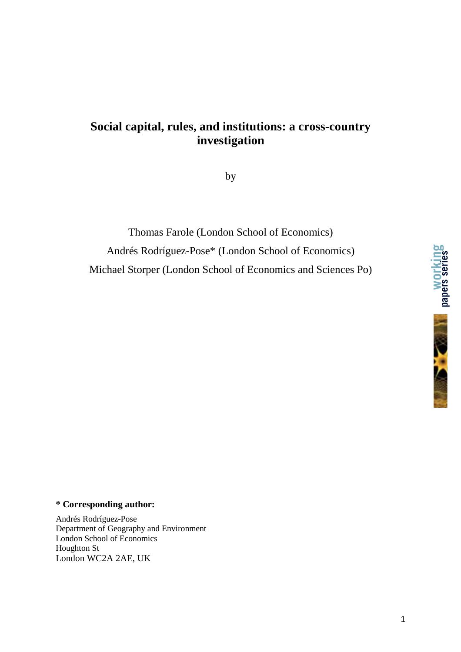# **Social capital, rules, and institutions: a cross-country investigation**

by

Thomas Farole (London School of Economics) Andrés Rodríguez-Pose\* (London School of Economics) Michael Storper (London School of Economics and Sciences Po)





#### **\* Corresponding author:**

Andrés Rodríguez-Pose Department of Geography and Environment London School of Economics Houghton St London WC2A 2AE, UK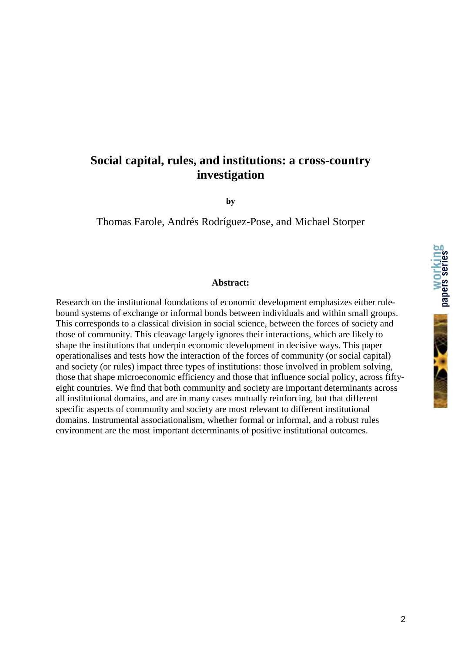# **Social capital, rules, and institutions: a cross-country investigation**

**by** 

Thomas Farole, Andrés Rodríguez-Pose, and Michael Storper

#### **Abstract:**

Research on the institutional foundations of economic development emphasizes either rulebound systems of exchange or informal bonds between individuals and within small groups. This corresponds to a classical division in social science, between the forces of society and those of community. This cleavage largely ignores their interactions, which are likely to shape the institutions that underpin economic development in decisive ways. This paper operationalises and tests how the interaction of the forces of community (or social capital) and society (or rules) impact three types of institutions: those involved in problem solving, those that shape microeconomic efficiency and those that influence social policy, across fiftyeight countries. We find that both community and society are important determinants across all institutional domains, and are in many cases mutually reinforcing, but that different specific aspects of community and society are most relevant to different institutional domains. Instrumental associationalism, whether formal or informal, and a robust rules environment are the most important determinants of positive institutional outcomes.

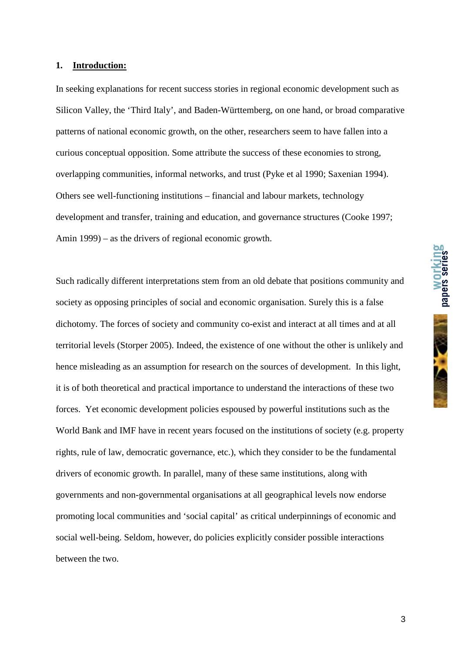#### **1. Introduction:**

In seeking explanations for recent success stories in regional economic development such as Silicon Valley, the 'Third Italy', and Baden-Württemberg, on one hand, or broad comparative patterns of national economic growth, on the other, researchers seem to have fallen into a curious conceptual opposition. Some attribute the success of these economies to strong, overlapping communities, informal networks, and trust (Pyke et al 1990; Saxenian 1994). Others see well-functioning institutions – financial and labour markets, technology development and transfer, training and education, and governance structures (Cooke 1997; Amin 1999) – as the drivers of regional economic growth.

Such radically different interpretations stem from an old debate that positions community and society as opposing principles of social and economic organisation. Surely this is a false dichotomy. The forces of society and community co-exist and interact at all times and at all territorial levels (Storper 2005). Indeed, the existence of one without the other is unlikely and hence misleading as an assumption for research on the sources of development. In this light, it is of both theoretical and practical importance to understand the interactions of these two forces. Yet economic development policies espoused by powerful institutions such as the World Bank and IMF have in recent years focused on the institutions of society (e.g. property rights, rule of law, democratic governance, etc.), which they consider to be the fundamental drivers of economic growth. In parallel, many of these same institutions, along with governments and non-governmental organisations at all geographical levels now endorse promoting local communities and 'social capital' as critical underpinnings of economic and social well-being. Seldom, however, do policies explicitly consider possible interactions between the two.

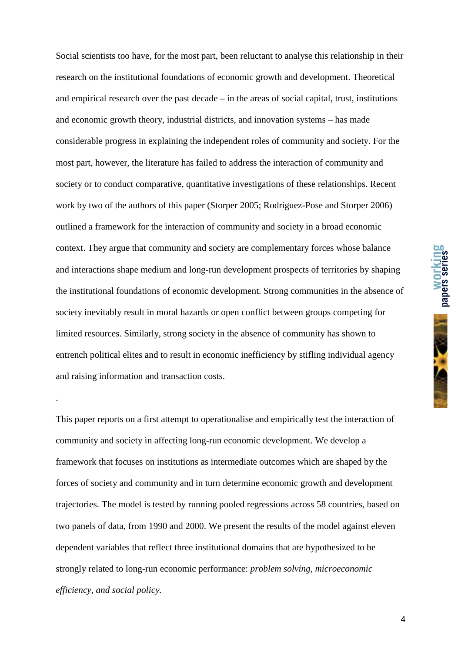Social scientists too have, for the most part, been reluctant to analyse this relationship in their research on the institutional foundations of economic growth and development. Theoretical and empirical research over the past decade – in the areas of social capital, trust, institutions and economic growth theory, industrial districts, and innovation systems – has made considerable progress in explaining the independent roles of community and society. For the most part, however, the literature has failed to address the interaction of community and society or to conduct comparative, quantitative investigations of these relationships. Recent work by two of the authors of this paper (Storper 2005; Rodríguez-Pose and Storper 2006) outlined a framework for the interaction of community and society in a broad economic context. They argue that community and society are complementary forces whose balance and interactions shape medium and long-run development prospects of territories by shaping the institutional foundations of economic development. Strong communities in the absence of society inevitably result in moral hazards or open conflict between groups competing for limited resources. Similarly, strong society in the absence of community has shown to entrench political elites and to result in economic inefficiency by stifling individual agency and raising information and transaction costs.

This paper reports on a first attempt to operationalise and empirically test the interaction of community and society in affecting long-run economic development. We develop a framework that focuses on institutions as intermediate outcomes which are shaped by the forces of society and community and in turn determine economic growth and development trajectories. The model is tested by running pooled regressions across 58 countries, based on two panels of data, from 1990 and 2000. We present the results of the model against eleven dependent variables that reflect three institutional domains that are hypothesized to be strongly related to long-run economic performance: *problem solving, microeconomic efficiency, and social policy.*

.

**working papers series**

4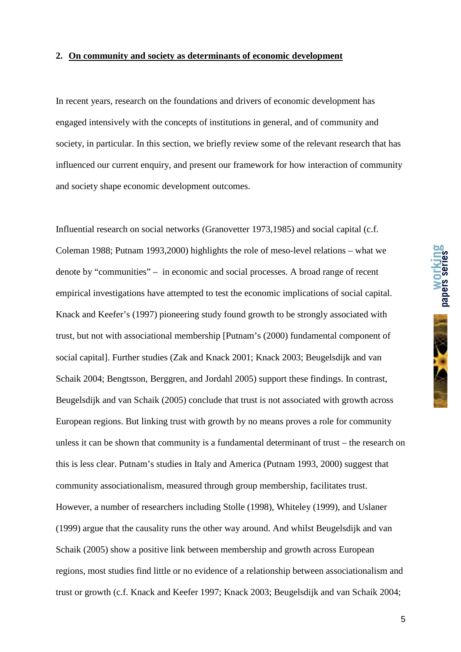#### **2. On community and society as determinants of economic development**

In recent years, research on the foundations and drivers of economic development has engaged intensively with the concepts of institutions in general, and of community and society, in particular. In this section, we briefly review some of the relevant research that has influenced our current enquiry, and present our framework for how interaction of community and society shape economic development outcomes.

Influential research on social networks (Granovetter 1973,1985) and social capital (c.f. Coleman 1988; Putnam 1993,2000) highlights the role of meso-level relations – what we denote by "communities" – in economic and social processes. A broad range of recent empirical investigations have attempted to test the economic implications of social capital. Knack and Keefer's (1997) pioneering study found growth to be strongly associated with trust, but not with associational membership [Putnam's (2000) fundamental component of social capital]. Further studies (Zak and Knack 2001; Knack 2003; Beugelsdijk and van Schaik 2004; Bengtsson, Berggren, and Jordahl 2005) support these findings. In contrast, Beugelsdijk and van Schaik (2005) conclude that trust is not associated with growth across European regions. But linking trust with growth by no means proves a role for community unless it can be shown that community is a fundamental determinant of trust – the research on this is less clear. Putnam's studies in Italy and America (Putnam 1993, 2000) suggest that community associationalism, measured through group membership, facilitates trust. However, a number of researchers including Stolle (1998), Whiteley (1999), and Uslaner (1999) argue that the causality runs the other way around. And whilst Beugelsdijk and van Schaik (2005) show a positive link between membership and growth across European regions, most studies find little or no evidence of a relationship between associationalism and trust or growth (c.f. Knack and Keefer 1997; Knack 2003; Beugelsdijk and van Schaik 2004;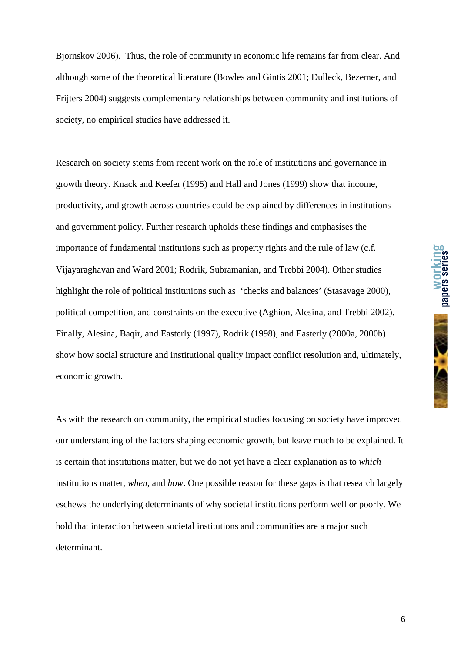**working** 

Bjornskov 2006). Thus, the role of community in economic life remains far from clear. And although some of the theoretical literature (Bowles and Gintis 2001; Dulleck, Bezemer, and Frijters 2004) suggests complementary relationships between community and institutions of society, no empirical studies have addressed it.

Research on society stems from recent work on the role of institutions and governance in growth theory. Knack and Keefer (1995) and Hall and Jones (1999) show that income, productivity, and growth across countries could be explained by differences in institutions and government policy. Further research upholds these findings and emphasises the importance of fundamental institutions such as property rights and the rule of law (c.f. Vijayaraghavan and Ward 2001; Rodrik, Subramanian, and Trebbi 2004). Other studies highlight the role of political institutions such as 'checks and balances' (Stasavage 2000), political competition, and constraints on the executive (Aghion, Alesina, and Trebbi 2002). Finally, Alesina, Baqir, and Easterly (1997), Rodrik (1998), and Easterly (2000a, 2000b) show how social structure and institutional quality impact conflict resolution and, ultimately, economic growth.

As with the research on community, the empirical studies focusing on society have improved our understanding of the factors shaping economic growth, but leave much to be explained. It is certain that institutions matter, but we do not yet have a clear explanation as to *which* institutions matter, *when*, and *how*. One possible reason for these gaps is that research largely eschews the underlying determinants of why societal institutions perform well or poorly. We hold that interaction between societal institutions and communities are a major such determinant.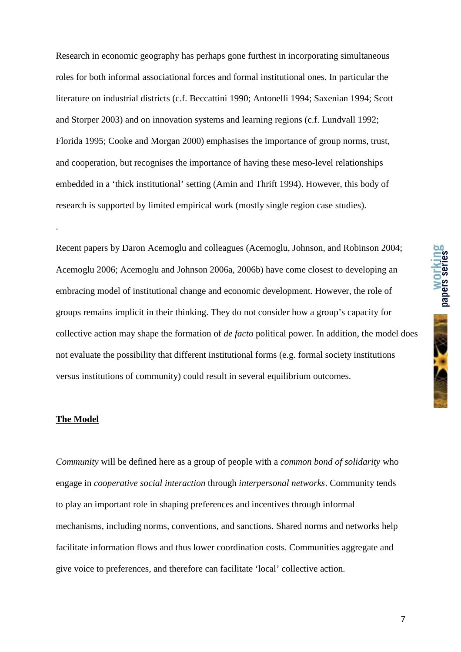Research in economic geography has perhaps gone furthest in incorporating simultaneous roles for both informal associational forces and formal institutional ones. In particular the literature on industrial districts (c.f. Beccattini 1990; Antonelli 1994; Saxenian 1994; Scott and Storper 2003) and on innovation systems and learning regions (c.f. Lundvall 1992; Florida 1995; Cooke and Morgan 2000) emphasises the importance of group norms, trust, and cooperation, but recognises the importance of having these meso-level relationships embedded in a 'thick institutional' setting (Amin and Thrift 1994). However, this body of research is supported by limited empirical work (mostly single region case studies).

Recent papers by Daron Acemoglu and colleagues (Acemoglu, Johnson, and Robinson 2004; Acemoglu 2006; Acemoglu and Johnson 2006a, 2006b) have come closest to developing an embracing model of institutional change and economic development. However, the role of groups remains implicit in their thinking. They do not consider how a group's capacity for collective action may shape the formation of *de facto* political power. In addition, the model does not evaluate the possibility that different institutional forms (e.g. formal society institutions versus institutions of community) could result in several equilibrium outcomes.

#### **The Model**

.

*Community* will be defined here as a group of people with a *common bond of solidarity* who engage in *cooperative social interaction* through *interpersonal networks*. Community tends to play an important role in shaping preferences and incentives through informal mechanisms, including norms, conventions, and sanctions. Shared norms and networks help facilitate information flows and thus lower coordination costs. Communities aggregate and give voice to preferences, and therefore can facilitate 'local' collective action.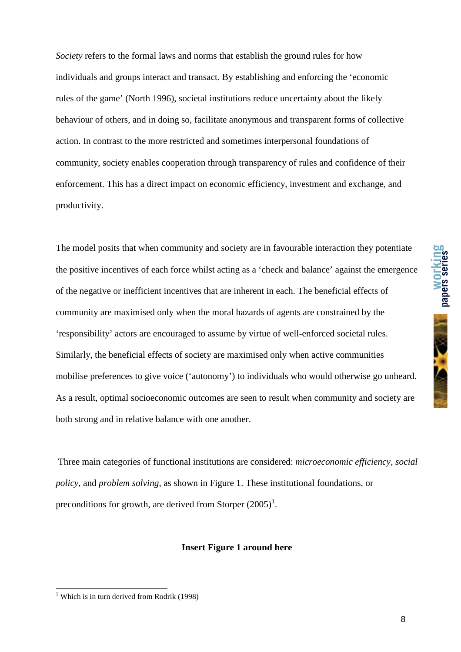*Society* refers to the formal laws and norms that establish the ground rules for how individuals and groups interact and transact. By establishing and enforcing the 'economic rules of the game' (North 1996), societal institutions reduce uncertainty about the likely behaviour of others, and in doing so, facilitate anonymous and transparent forms of collective action. In contrast to the more restricted and sometimes interpersonal foundations of community, society enables cooperation through transparency of rules and confidence of their enforcement. This has a direct impact on economic efficiency, investment and exchange, and productivity.

The model posits that when community and society are in favourable interaction they potentiate the positive incentives of each force whilst acting as a 'check and balance' against the emergence of the negative or inefficient incentives that are inherent in each. The beneficial effects of community are maximised only when the moral hazards of agents are constrained by the 'responsibility' actors are encouraged to assume by virtue of well-enforced societal rules. Similarly, the beneficial effects of society are maximised only when active communities mobilise preferences to give voice ('autonomy') to individuals who would otherwise go unheard. As a result, optimal socioeconomic outcomes are seen to result when community and society are both strong and in relative balance with one another.

 Three main categories of functional institutions are considered: *microeconomic efficiency*, *social policy*, and *problem solving*, as shown in Figure 1. These institutional foundations, or preconditions for growth, are derived from Storper  $(2005)^1$ .

#### **Insert Figure 1 around here**

 1 Which is in turn derived from Rodrik (1998)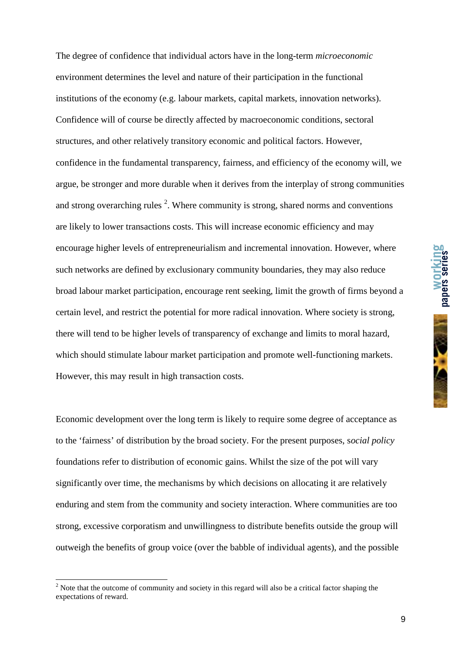The degree of confidence that individual actors have in the long-term *microeconomic* environment determines the level and nature of their participation in the functional institutions of the economy (e.g. labour markets, capital markets, innovation networks). Confidence will of course be directly affected by macroeconomic conditions, sectoral structures, and other relatively transitory economic and political factors. However, confidence in the fundamental transparency, fairness, and efficiency of the economy will, we argue, be stronger and more durable when it derives from the interplay of strong communities and strong overarching rules  $2$ . Where community is strong, shared norms and conventions are likely to lower transactions costs. This will increase economic efficiency and may encourage higher levels of entrepreneurialism and incremental innovation. However, where such networks are defined by exclusionary community boundaries, they may also reduce broad labour market participation, encourage rent seeking, limit the growth of firms beyond a certain level, and restrict the potential for more radical innovation. Where society is strong, there will tend to be higher levels of transparency of exchange and limits to moral hazard, which should stimulate labour market participation and promote well-functioning markets. However, this may result in high transaction costs.

Economic development over the long term is likely to require some degree of acceptance as to the 'fairness' of distribution by the broad society. For the present purposes, s*ocial policy* foundations refer to distribution of economic gains. Whilst the size of the pot will vary significantly over time, the mechanisms by which decisions on allocating it are relatively enduring and stem from the community and society interaction. Where communities are too strong, excessive corporatism and unwillingness to distribute benefits outside the group will outweigh the benefits of group voice (over the babble of individual agents), and the possible

<sup>&</sup>lt;sup>2</sup> Note that the outcome of community and society in this regard will also be a critical factor shaping the expectations of reward.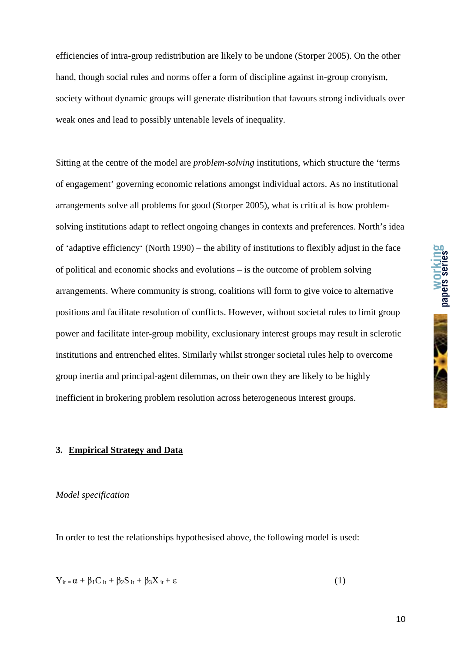efficiencies of intra-group redistribution are likely to be undone (Storper 2005). On the other hand, though social rules and norms offer a form of discipline against in-group cronyism, society without dynamic groups will generate distribution that favours strong individuals over weak ones and lead to possibly untenable levels of inequality.

Sitting at the centre of the model are *problem-solving* institutions, which structure the 'terms of engagement' governing economic relations amongst individual actors. As no institutional arrangements solve all problems for good (Storper 2005), what is critical is how problemsolving institutions adapt to reflect ongoing changes in contexts and preferences. North's idea of 'adaptive efficiency' (North 1990) – the ability of institutions to flexibly adjust in the face of political and economic shocks and evolutions – is the outcome of problem solving arrangements. Where community is strong, coalitions will form to give voice to alternative positions and facilitate resolution of conflicts. However, without societal rules to limit group power and facilitate inter-group mobility, exclusionary interest groups may result in sclerotic institutions and entrenched elites. Similarly whilst stronger societal rules help to overcome group inertia and principal-agent dilemmas, on their own they are likely to be highly inefficient in brokering problem resolution across heterogeneous interest groups.

#### **3. Empirical Strategy and Data**

#### *Model specification*

In order to test the relationships hypothesised above, the following model is used:

$$
Y_{it} = \alpha + \beta_1 C_{it} + \beta_2 S_{it} + \beta_3 X_{it} + \varepsilon
$$
 (1)

**working**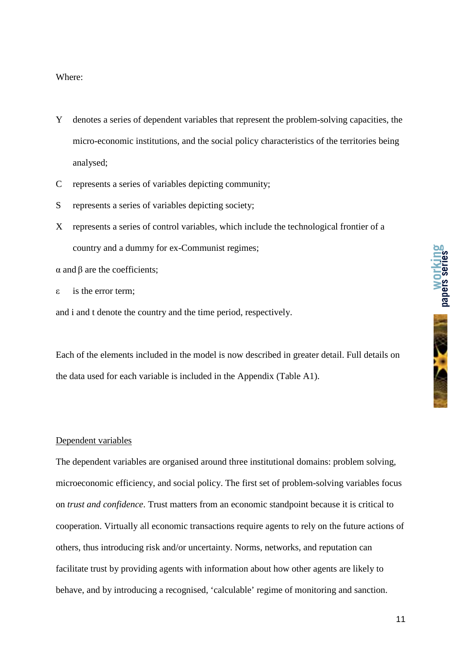#### Where:

- Y denotes a series of dependent variables that represent the problem-solving capacities, the micro-economic institutions, and the social policy characteristics of the territories being analysed;
- C represents a series of variables depicting community;
- S represents a series of variables depicting society;
- X represents a series of control variables, which include the technological frontier of a country and a dummy for ex-Communist regimes;

α and β are the coefficients;

ε is the error term;

and i and t denote the country and the time period, respectively.

Each of the elements included in the model is now described in greater detail. Full details on the data used for each variable is included in the Appendix (Table A1).

#### Dependent variables

The dependent variables are organised around three institutional domains: problem solving, microeconomic efficiency, and social policy. The first set of problem-solving variables focus on *trust and confidence*. Trust matters from an economic standpoint because it is critical to cooperation. Virtually all economic transactions require agents to rely on the future actions of others, thus introducing risk and/or uncertainty. Norms, networks, and reputation can facilitate trust by providing agents with information about how other agents are likely to behave, and by introducing a recognised, 'calculable' regime of monitoring and sanction.

**papers series**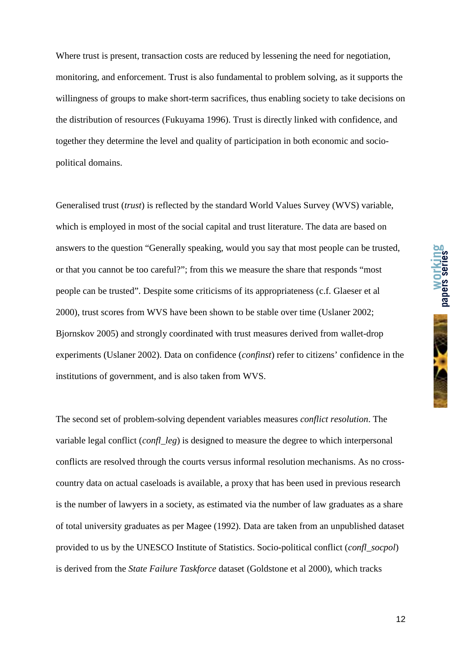Where trust is present, transaction costs are reduced by lessening the need for negotiation. monitoring, and enforcement. Trust is also fundamental to problem solving, as it supports the willingness of groups to make short-term sacrifices, thus enabling society to take decisions on the distribution of resources (Fukuyama 1996). Trust is directly linked with confidence, and together they determine the level and quality of participation in both economic and sociopolitical domains.

Generalised trust (*trust*) is reflected by the standard World Values Survey (WVS) variable, which is employed in most of the social capital and trust literature. The data are based on answers to the question "Generally speaking, would you say that most people can be trusted, or that you cannot be too careful?"; from this we measure the share that responds "most people can be trusted". Despite some criticisms of its appropriateness (c.f. Glaeser et al 2000), trust scores from WVS have been shown to be stable over time (Uslaner 2002; Bjornskov 2005) and strongly coordinated with trust measures derived from wallet-drop experiments (Uslaner 2002). Data on confidence (*confinst*) refer to citizens' confidence in the institutions of government, and is also taken from WVS.

The second set of problem-solving dependent variables measures *conflict resolution*. The variable legal conflict (*confl\_leg*) is designed to measure the degree to which interpersonal conflicts are resolved through the courts versus informal resolution mechanisms. As no crosscountry data on actual caseloads is available, a proxy that has been used in previous research is the number of lawyers in a society, as estimated via the number of law graduates as a share of total university graduates as per Magee (1992). Data are taken from an unpublished dataset provided to us by the UNESCO Institute of Statistics. Socio-political conflict (*confl\_socpol*) is derived from the *State Failure Taskforce* dataset (Goldstone et al 2000), which tracks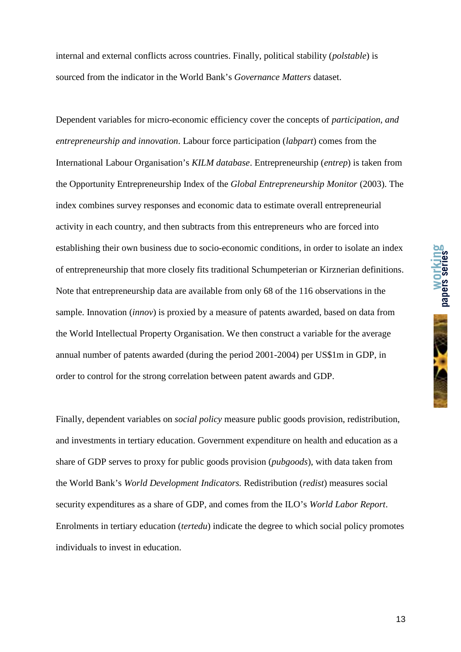internal and external conflicts across countries. Finally, political stability (*polstable*) is sourced from the indicator in the World Bank's *Governance Matters* dataset.

Dependent variables for micro-economic efficiency cover the concepts of *participation, and entrepreneurship and innovation*. Labour force participation (*labpart*) comes from the International Labour Organisation's *KILM database*. Entrepreneurship (*entrep*) is taken from the Opportunity Entrepreneurship Index of the *Global Entrepreneurship Monitor* (2003). The index combines survey responses and economic data to estimate overall entrepreneurial activity in each country, and then subtracts from this entrepreneurs who are forced into establishing their own business due to socio-economic conditions, in order to isolate an index of entrepreneurship that more closely fits traditional Schumpeterian or Kirznerian definitions. Note that entrepreneurship data are available from only 68 of the 116 observations in the sample. Innovation (*innov*) is proxied by a measure of patents awarded, based on data from the World Intellectual Property Organisation. We then construct a variable for the average annual number of patents awarded (during the period 2001-2004) per US\$1m in GDP, in order to control for the strong correlation between patent awards and GDP.

Finally, dependent variables on *social policy* measure public goods provision, redistribution, and investments in tertiary education. Government expenditure on health and education as a share of GDP serves to proxy for public goods provision (*pubgoods*), with data taken from the World Bank's *World Development Indicators.* Redistribution (*redist*) measures social security expenditures as a share of GDP, and comes from the ILO's *World Labor Report*. Enrolments in tertiary education (*tertedu*) indicate the degree to which social policy promotes individuals to invest in education.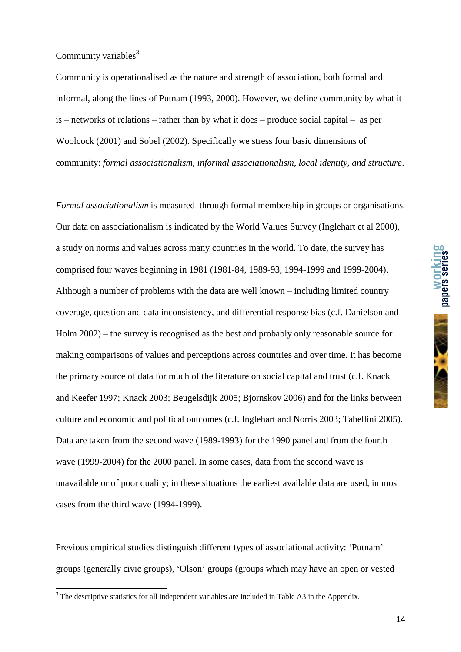#### Community variables $3$

Community is operationalised as the nature and strength of association, both formal and informal, along the lines of Putnam (1993, 2000). However, we define community by what it is – networks of relations – rather than by what it does – produce social capital – as per Woolcock (2001) and Sobel (2002). Specifically we stress four basic dimensions of community: *formal associationalism, informal associationalism, local identity, and structure*.

*Formal associationalism* is measured through formal membership in groups or organisations. Our data on associationalism is indicated by the World Values Survey (Inglehart et al 2000), a study on norms and values across many countries in the world. To date, the survey has comprised four waves beginning in 1981 (1981-84, 1989-93, 1994-1999 and 1999-2004). Although a number of problems with the data are well known – including limited country coverage, question and data inconsistency, and differential response bias (c.f. Danielson and Holm 2002) – the survey is recognised as the best and probably only reasonable source for making comparisons of values and perceptions across countries and over time. It has become the primary source of data for much of the literature on social capital and trust (c.f. Knack and Keefer 1997; Knack 2003; Beugelsdijk 2005; Bjornskov 2006) and for the links between culture and economic and political outcomes (c.f. Inglehart and Norris 2003; Tabellini 2005). Data are taken from the second wave (1989-1993) for the 1990 panel and from the fourth wave (1999-2004) for the 2000 panel. In some cases, data from the second wave is unavailable or of poor quality; in these situations the earliest available data are used, in most cases from the third wave (1994-1999).

Previous empirical studies distinguish different types of associational activity: 'Putnam' groups (generally civic groups), 'Olson' groups (groups which may have an open or vested **working** 

<sup>&</sup>lt;sup>3</sup> The descriptive statistics for all independent variables are included in Table A3 in the Appendix.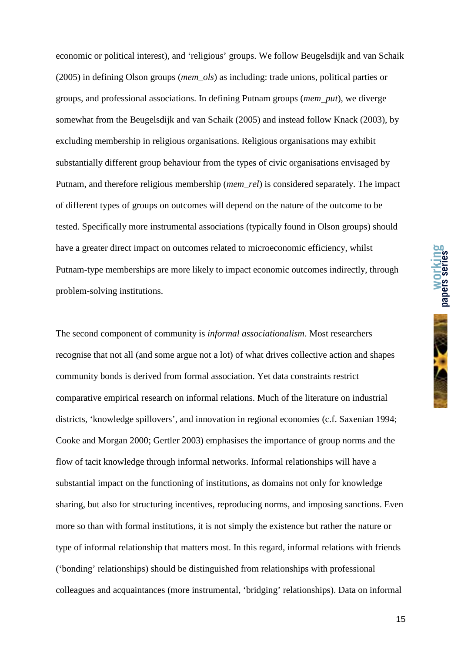economic or political interest), and 'religious' groups. We follow Beugelsdijk and van Schaik (2005) in defining Olson groups (*mem\_ols*) as including: trade unions, political parties or groups, and professional associations. In defining Putnam groups (*mem\_put*), we diverge somewhat from the Beugelsdijk and van Schaik (2005) and instead follow Knack (2003), by excluding membership in religious organisations. Religious organisations may exhibit substantially different group behaviour from the types of civic organisations envisaged by Putnam, and therefore religious membership (*mem\_rel*) is considered separately. The impact of different types of groups on outcomes will depend on the nature of the outcome to be tested. Specifically more instrumental associations (typically found in Olson groups) should have a greater direct impact on outcomes related to microeconomic efficiency, whilst Putnam-type memberships are more likely to impact economic outcomes indirectly, through problem-solving institutions.

The second component of community is *informal associationalism*. Most researchers recognise that not all (and some argue not a lot) of what drives collective action and shapes community bonds is derived from formal association. Yet data constraints restrict comparative empirical research on informal relations. Much of the literature on industrial districts, 'knowledge spillovers', and innovation in regional economies (c.f. Saxenian 1994; Cooke and Morgan 2000; Gertler 2003) emphasises the importance of group norms and the flow of tacit knowledge through informal networks. Informal relationships will have a substantial impact on the functioning of institutions, as domains not only for knowledge sharing, but also for structuring incentives, reproducing norms, and imposing sanctions. Even more so than with formal institutions, it is not simply the existence but rather the nature or type of informal relationship that matters most. In this regard, informal relations with friends ('bonding' relationships) should be distinguished from relationships with professional colleagues and acquaintances (more instrumental, 'bridging' relationships). Data on informal

15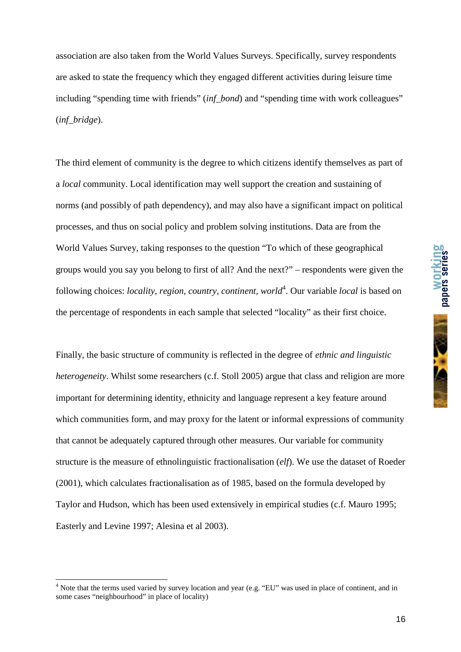association are also taken from the World Values Surveys. Specifically, survey respondents are asked to state the frequency which they engaged different activities during leisure time including "spending time with friends" (*inf\_bond*) and "spending time with work colleagues" (*inf\_bridge*).

The third element of community is the degree to which citizens identify themselves as part of a *local* community. Local identification may well support the creation and sustaining of norms (and possibly of path dependency), and may also have a significant impact on political processes, and thus on social policy and problem solving institutions. Data are from the World Values Survey, taking responses to the question "To which of these geographical groups would you say you belong to first of all? And the next?" – respondents were given the following choices: *locality, region, country, continent, world*<sup>4</sup>. Our variable *local* is based on the percentage of respondents in each sample that selected "locality" as their first choice.

Finally, the basic structure of community is reflected in the degree of *ethnic and linguistic heterogeneity*. Whilst some researchers (c.f. Stoll 2005) argue that class and religion are more important for determining identity, ethnicity and language represent a key feature around which communities form, and may proxy for the latent or informal expressions of community that cannot be adequately captured through other measures. Our variable for community structure is the measure of ethnolinguistic fractionalisation (*elf*). We use the dataset of Roeder (2001), which calculates fractionalisation as of 1985, based on the formula developed by Taylor and Hudson, which has been used extensively in empirical studies (c.f. Mauro 1995; Easterly and Levine 1997; Alesina et al 2003).

 $\overline{a}$ 

<sup>&</sup>lt;sup>4</sup> Note that the terms used varied by survey location and year (e.g. "EU" was used in place of continent, and in some cases "neighbourhood" in place of locality)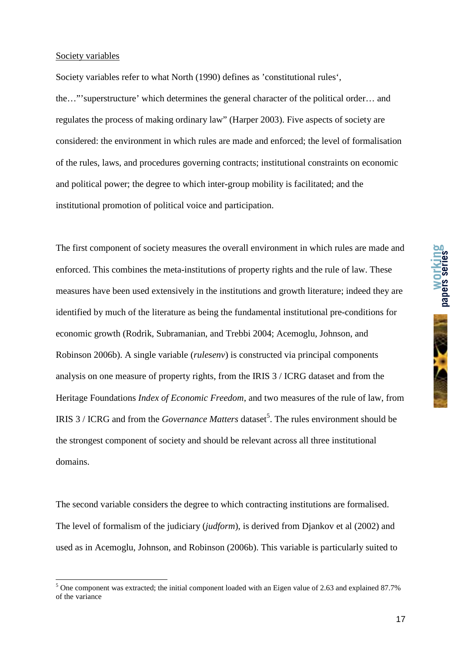#### Society variables

Society variables refer to what North (1990) defines as 'constitutional rules', the…"'superstructure' which determines the general character of the political order… and regulates the process of making ordinary law" (Harper 2003). Five aspects of society are considered: the environment in which rules are made and enforced; the level of formalisation of the rules, laws, and procedures governing contracts; institutional constraints on economic and political power; the degree to which inter-group mobility is facilitated; and the institutional promotion of political voice and participation.

The first component of society measures the overall environment in which rules are made and enforced. This combines the meta-institutions of property rights and the rule of law. These measures have been used extensively in the institutions and growth literature; indeed they are identified by much of the literature as being the fundamental institutional pre-conditions for economic growth (Rodrik, Subramanian, and Trebbi 2004; Acemoglu, Johnson, and Robinson 2006b). A single variable (*rulesenv*) is constructed via principal components analysis on one measure of property rights, from the IRIS 3 / ICRG dataset and from the Heritage Foundations *Index of Economic Freedom*, and two measures of the rule of law, from IRIS 3 / ICRG and from the *Governance Matters* dataset<sup>5</sup>. The rules environment should be the strongest component of society and should be relevant across all three institutional domains.

The second variable considers the degree to which contracting institutions are formalised. The level of formalism of the judiciary (*judform*), is derived from Djankov et al (2002) and used as in Acemoglu, Johnson, and Robinson (2006b). This variable is particularly suited to

<sup>&</sup>lt;sup>5</sup> One component was extracted; the initial component loaded with an Eigen value of 2.63 and explained 87.7% of the variance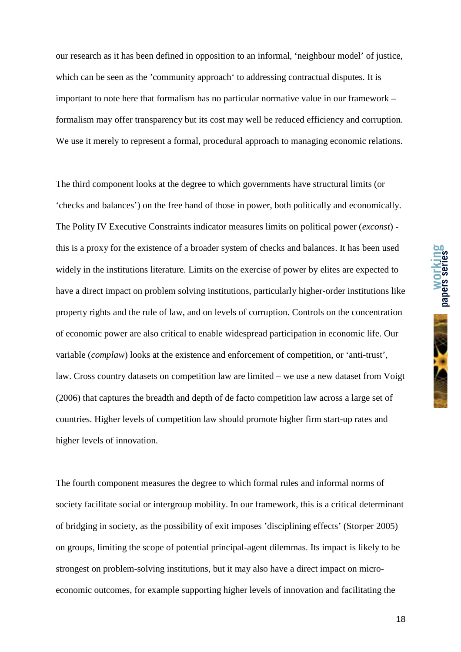our research as it has been defined in opposition to an informal, 'neighbour model' of justice, which can be seen as the 'community approach' to addressing contractual disputes. It is important to note here that formalism has no particular normative value in our framework – formalism may offer transparency but its cost may well be reduced efficiency and corruption. We use it merely to represent a formal, procedural approach to managing economic relations.

The third component looks at the degree to which governments have structural limits (or 'checks and balances') on the free hand of those in power, both politically and economically. The Polity IV Executive Constraints indicator measures limits on political power (*exconst*) this is a proxy for the existence of a broader system of checks and balances. It has been used widely in the institutions literature. Limits on the exercise of power by elites are expected to have a direct impact on problem solving institutions, particularly higher-order institutions like property rights and the rule of law, and on levels of corruption. Controls on the concentration of economic power are also critical to enable widespread participation in economic life. Our variable (*complaw*) looks at the existence and enforcement of competition, or 'anti-trust', law. Cross country datasets on competition law are limited – we use a new dataset from Voigt (2006) that captures the breadth and depth of de facto competition law across a large set of countries. Higher levels of competition law should promote higher firm start-up rates and higher levels of innovation.

The fourth component measures the degree to which formal rules and informal norms of society facilitate social or intergroup mobility. In our framework, this is a critical determinant of bridging in society, as the possibility of exit imposes 'disciplining effects' (Storper 2005) on groups, limiting the scope of potential principal-agent dilemmas. Its impact is likely to be strongest on problem-solving institutions, but it may also have a direct impact on microeconomic outcomes, for example supporting higher levels of innovation and facilitating the

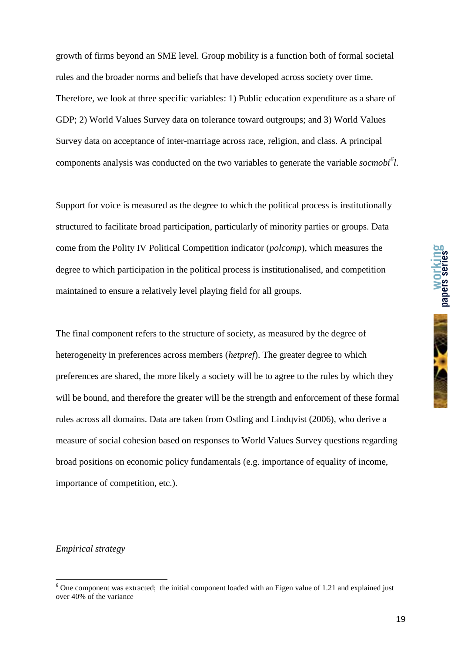growth of firms beyond an SME level. Group mobility is a function both of formal societal rules and the broader norms and beliefs that have developed across society over time. Therefore, we look at three specific variables: 1) Public education expenditure as a share of GDP; 2) World Values Survey data on tolerance toward outgroups; and 3) World Values Survey data on acceptance of inter-marriage across race, religion, and class. A principal components analysis was conducted on the two variables to generate the variable *socmobi<sup>6</sup> l*.

Support for voice is measured as the degree to which the political process is institutionally structured to facilitate broad participation, particularly of minority parties or groups. Data come from the Polity IV Political Competition indicator (*polcomp*), which measures the degree to which participation in the political process is institutionalised, and competition maintained to ensure a relatively level playing field for all groups.

The final component refers to the structure of society, as measured by the degree of heterogeneity in preferences across members (*hetpref*). The greater degree to which preferences are shared, the more likely a society will be to agree to the rules by which they will be bound, and therefore the greater will be the strength and enforcement of these formal rules across all domains. Data are taken from Ostling and Lindqvist (2006), who derive a measure of social cohesion based on responses to World Values Survey questions regarding broad positions on economic policy fundamentals (e.g. importance of equality of income, importance of competition, etc.).

#### *Empirical strategy*

**papers series** 

<sup>&</sup>lt;sup>6</sup> One component was extracted; the initial component loaded with an Eigen value of 1.21 and explained just over 40% of the variance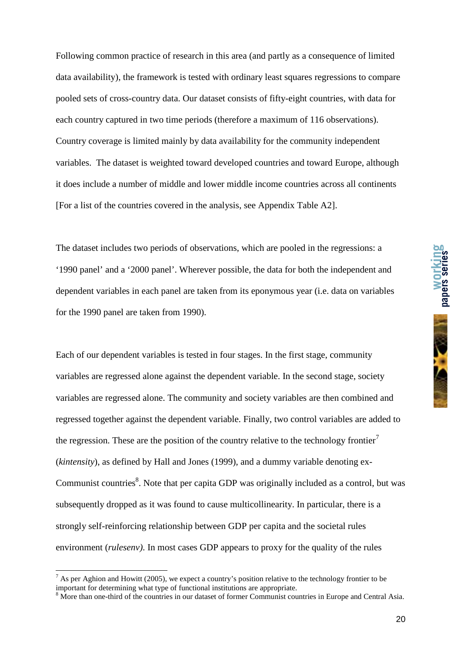Following common practice of research in this area (and partly as a consequence of limited data availability), the framework is tested with ordinary least squares regressions to compare pooled sets of cross-country data. Our dataset consists of fifty-eight countries, with data for each country captured in two time periods (therefore a maximum of 116 observations). Country coverage is limited mainly by data availability for the community independent variables. The dataset is weighted toward developed countries and toward Europe, although it does include a number of middle and lower middle income countries across all continents [For a list of the countries covered in the analysis, see Appendix Table A2].

The dataset includes two periods of observations, which are pooled in the regressions: a '1990 panel' and a '2000 panel'. Wherever possible, the data for both the independent and dependent variables in each panel are taken from its eponymous year (i.e. data on variables for the 1990 panel are taken from 1990).

Each of our dependent variables is tested in four stages. In the first stage, community variables are regressed alone against the dependent variable. In the second stage, society variables are regressed alone. The community and society variables are then combined and regressed together against the dependent variable. Finally, two control variables are added to the regression. These are the position of the country relative to the technology frontier<sup>7</sup> (*kintensity*), as defined by Hall and Jones (1999), and a dummy variable denoting ex-Communist countries<sup>8</sup>. Note that per capita GDP was originally included as a control, but was subsequently dropped as it was found to cause multicollinearity. In particular, there is a strongly self-reinforcing relationship between GDP per capita and the societal rules environment (*rulesenv)*. In most cases GDP appears to proxy for the quality of the rules

 $\overline{a}$ 



 $^7$  As per Aghion and Howitt (2005), we expect a country's position relative to the technology frontier to be important for determining what type of functional institutions are appropriate.

<sup>&</sup>lt;sup>8</sup> More than one-third of the countries in our dataset of former Communist countries in Europe and Central Asia.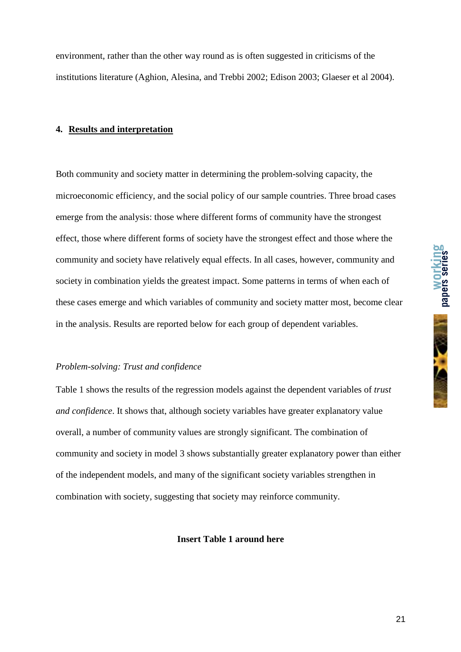

environment, rather than the other way round as is often suggested in criticisms of the institutions literature (Aghion, Alesina, and Trebbi 2002; Edison 2003; Glaeser et al 2004).

#### **4. Results and interpretation**

Both community and society matter in determining the problem-solving capacity, the microeconomic efficiency, and the social policy of our sample countries. Three broad cases emerge from the analysis: those where different forms of community have the strongest effect, those where different forms of society have the strongest effect and those where the community and society have relatively equal effects. In all cases, however, community and society in combination yields the greatest impact. Some patterns in terms of when each of these cases emerge and which variables of community and society matter most, become clear in the analysis. Results are reported below for each group of dependent variables.

#### *Problem-solving: Trust and confidence*

Table 1 shows the results of the regression models against the dependent variables of *trust and confidence*. It shows that, although society variables have greater explanatory value overall, a number of community values are strongly significant. The combination of community and society in model 3 shows substantially greater explanatory power than either of the independent models, and many of the significant society variables strengthen in combination with society, suggesting that society may reinforce community.

#### **Insert Table 1 around here**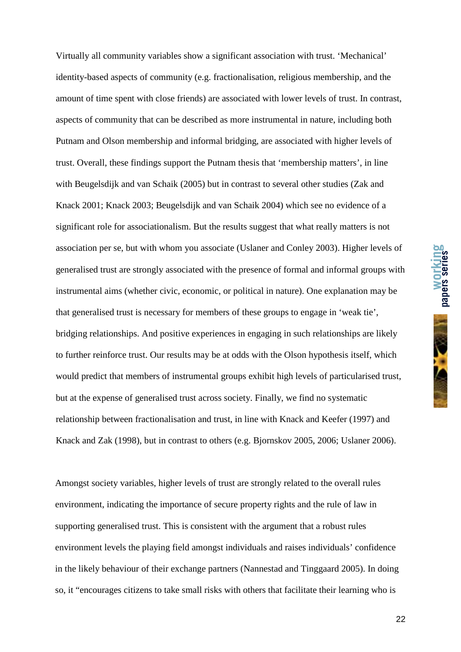Virtually all community variables show a significant association with trust. 'Mechanical' identity-based aspects of community (e.g. fractionalisation, religious membership, and the amount of time spent with close friends) are associated with lower levels of trust. In contrast, aspects of community that can be described as more instrumental in nature, including both Putnam and Olson membership and informal bridging, are associated with higher levels of trust. Overall, these findings support the Putnam thesis that 'membership matters', in line with Beugelsdijk and van Schaik (2005) but in contrast to several other studies (Zak and Knack 2001; Knack 2003; Beugelsdijk and van Schaik 2004) which see no evidence of a significant role for associationalism. But the results suggest that what really matters is not association per se, but with whom you associate (Uslaner and Conley 2003). Higher levels of generalised trust are strongly associated with the presence of formal and informal groups with instrumental aims (whether civic, economic, or political in nature). One explanation may be that generalised trust is necessary for members of these groups to engage in 'weak tie', bridging relationships. And positive experiences in engaging in such relationships are likely to further reinforce trust. Our results may be at odds with the Olson hypothesis itself, which would predict that members of instrumental groups exhibit high levels of particularised trust, but at the expense of generalised trust across society. Finally, we find no systematic relationship between fractionalisation and trust, in line with Knack and Keefer (1997) and Knack and Zak (1998), but in contrast to others (e.g. Bjornskov 2005, 2006; Uslaner 2006).

Amongst society variables, higher levels of trust are strongly related to the overall rules environment, indicating the importance of secure property rights and the rule of law in supporting generalised trust. This is consistent with the argument that a robust rules environment levels the playing field amongst individuals and raises individuals' confidence in the likely behaviour of their exchange partners (Nannestad and Tinggaard 2005). In doing so, it "encourages citizens to take small risks with others that facilitate their learning who is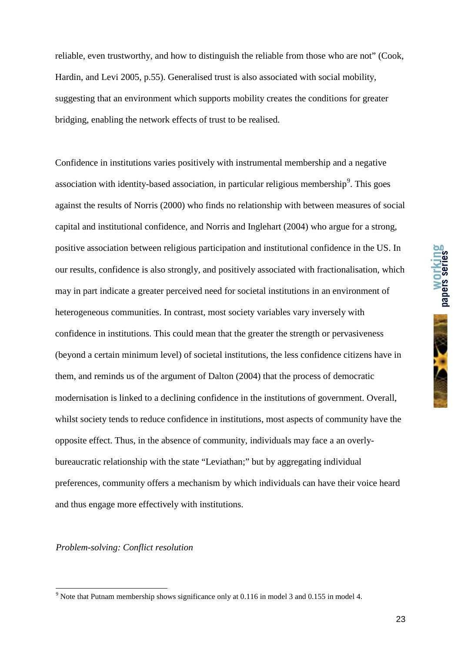reliable, even trustworthy, and how to distinguish the reliable from those who are not" (Cook, Hardin, and Levi 2005, p.55). Generalised trust is also associated with social mobility, suggesting that an environment which supports mobility creates the conditions for greater bridging, enabling the network effects of trust to be realised.

Confidence in institutions varies positively with instrumental membership and a negative association with identity-based association, in particular religious membership<sup>9</sup>. This goes against the results of Norris (2000) who finds no relationship with between measures of social capital and institutional confidence, and Norris and Inglehart (2004) who argue for a strong, positive association between religious participation and institutional confidence in the US. In our results, confidence is also strongly, and positively associated with fractionalisation, which may in part indicate a greater perceived need for societal institutions in an environment of heterogeneous communities. In contrast, most society variables vary inversely with confidence in institutions. This could mean that the greater the strength or pervasiveness (beyond a certain minimum level) of societal institutions, the less confidence citizens have in them, and reminds us of the argument of Dalton (2004) that the process of democratic modernisation is linked to a declining confidence in the institutions of government. Overall, whilst society tends to reduce confidence in institutions, most aspects of community have the opposite effect. Thus, in the absence of community, individuals may face a an overlybureaucratic relationship with the state "Leviathan;" but by aggregating individual preferences, community offers a mechanism by which individuals can have their voice heard and thus engage more effectively with institutions.

*Problem-solving: Conflict resolution* 

<sup>&</sup>lt;sup>9</sup> Note that Putnam membership shows significance only at 0.116 in model 3 and 0.155 in model 4.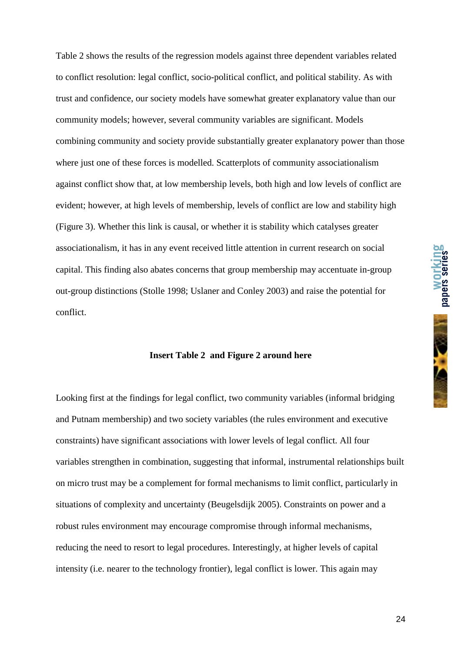Table 2 shows the results of the regression models against three dependent variables related to conflict resolution: legal conflict, socio-political conflict, and political stability. As with trust and confidence, our society models have somewhat greater explanatory value than our community models; however, several community variables are significant. Models combining community and society provide substantially greater explanatory power than those where just one of these forces is modelled. Scatterplots of community associationalism against conflict show that, at low membership levels, both high and low levels of conflict are evident; however, at high levels of membership, levels of conflict are low and stability high (Figure 3). Whether this link is causal, or whether it is stability which catalyses greater associationalism, it has in any event received little attention in current research on social capital. This finding also abates concerns that group membership may accentuate in-group out-group distinctions (Stolle 1998; Uslaner and Conley 2003) and raise the potential for conflict.

#### **Insert Table 2 and Figure 2 around here**

Looking first at the findings for legal conflict, two community variables (informal bridging and Putnam membership) and two society variables (the rules environment and executive constraints) have significant associations with lower levels of legal conflict. All four variables strengthen in combination, suggesting that informal, instrumental relationships built on micro trust may be a complement for formal mechanisms to limit conflict, particularly in situations of complexity and uncertainty (Beugelsdijk 2005). Constraints on power and a robust rules environment may encourage compromise through informal mechanisms, reducing the need to resort to legal procedures. Interestingly, at higher levels of capital intensity (i.e. nearer to the technology frontier), legal conflict is lower. This again may

**working**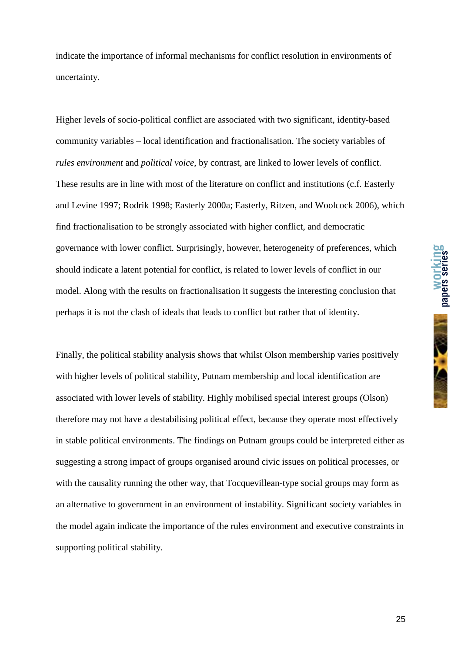

indicate the importance of informal mechanisms for conflict resolution in environments of uncertainty.

Higher levels of socio-political conflict are associated with two significant, identity-based community variables – local identification and fractionalisation. The society variables of *rules environment* and *political voice*, by contrast, are linked to lower levels of conflict. These results are in line with most of the literature on conflict and institutions (c.f. Easterly and Levine 1997; Rodrik 1998; Easterly 2000a; Easterly, Ritzen, and Woolcock 2006), which find fractionalisation to be strongly associated with higher conflict, and democratic governance with lower conflict. Surprisingly, however, heterogeneity of preferences, which should indicate a latent potential for conflict, is related to lower levels of conflict in our model. Along with the results on fractionalisation it suggests the interesting conclusion that perhaps it is not the clash of ideals that leads to conflict but rather that of identity.

Finally, the political stability analysis shows that whilst Olson membership varies positively with higher levels of political stability, Putnam membership and local identification are associated with lower levels of stability. Highly mobilised special interest groups (Olson) therefore may not have a destabilising political effect, because they operate most effectively in stable political environments. The findings on Putnam groups could be interpreted either as suggesting a strong impact of groups organised around civic issues on political processes, or with the causality running the other way, that Tocquevillean-type social groups may form as an alternative to government in an environment of instability. Significant society variables in the model again indicate the importance of the rules environment and executive constraints in supporting political stability.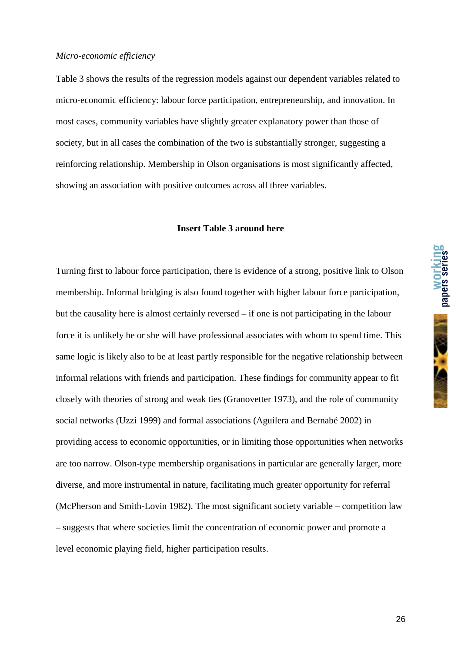Table 3 shows the results of the regression models against our dependent variables related to micro-economic efficiency: labour force participation, entrepreneurship, and innovation. In most cases, community variables have slightly greater explanatory power than those of society, but in all cases the combination of the two is substantially stronger, suggesting a reinforcing relationship. Membership in Olson organisations is most significantly affected, showing an association with positive outcomes across all three variables.

#### **Insert Table 3 around here**

Turning first to labour force participation, there is evidence of a strong, positive link to Olson membership. Informal bridging is also found together with higher labour force participation, but the causality here is almost certainly reversed – if one is not participating in the labour force it is unlikely he or she will have professional associates with whom to spend time. This same logic is likely also to be at least partly responsible for the negative relationship between informal relations with friends and participation. These findings for community appear to fit closely with theories of strong and weak ties (Granovetter 1973), and the role of community social networks (Uzzi 1999) and formal associations (Aguilera and Bernabé 2002) in providing access to economic opportunities, or in limiting those opportunities when networks are too narrow. Olson-type membership organisations in particular are generally larger, more diverse, and more instrumental in nature, facilitating much greater opportunity for referral (McPherson and Smith-Lovin 1982). The most significant society variable – competition law – suggests that where societies limit the concentration of economic power and promote a level economic playing field, higher participation results.

**working papers series**

26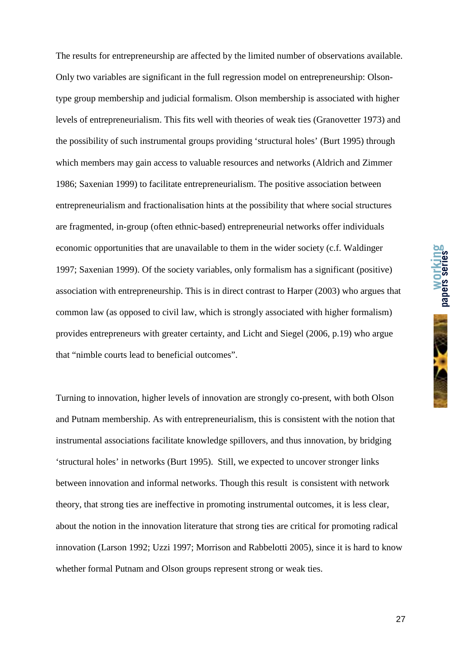The results for entrepreneurship are affected by the limited number of observations available. Only two variables are significant in the full regression model on entrepreneurship: Olsontype group membership and judicial formalism. Olson membership is associated with higher levels of entrepreneurialism. This fits well with theories of weak ties (Granovetter 1973) and the possibility of such instrumental groups providing 'structural holes' (Burt 1995) through which members may gain access to valuable resources and networks (Aldrich and Zimmer 1986; Saxenian 1999) to facilitate entrepreneurialism. The positive association between entrepreneurialism and fractionalisation hints at the possibility that where social structures are fragmented, in-group (often ethnic-based) entrepreneurial networks offer individuals economic opportunities that are unavailable to them in the wider society (c.f. Waldinger 1997; Saxenian 1999). Of the society variables, only formalism has a significant (positive) association with entrepreneurship. This is in direct contrast to Harper (2003) who argues that common law (as opposed to civil law, which is strongly associated with higher formalism) provides entrepreneurs with greater certainty, and Licht and Siegel (2006, p.19) who argue that "nimble courts lead to beneficial outcomes".

Turning to innovation, higher levels of innovation are strongly co-present, with both Olson and Putnam membership. As with entrepreneurialism, this is consistent with the notion that instrumental associations facilitate knowledge spillovers, and thus innovation, by bridging 'structural holes' in networks (Burt 1995). Still, we expected to uncover stronger links between innovation and informal networks. Though this result is consistent with network theory, that strong ties are ineffective in promoting instrumental outcomes, it is less clear, about the notion in the innovation literature that strong ties are critical for promoting radical innovation (Larson 1992; Uzzi 1997; Morrison and Rabbelotti 2005), since it is hard to know whether formal Putnam and Olson groups represent strong or weak ties.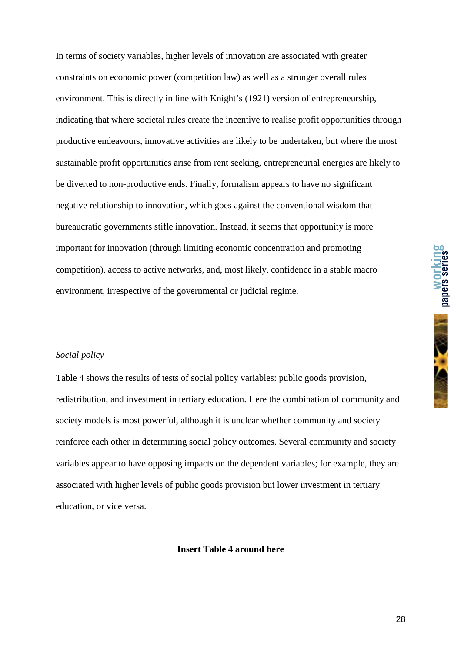In terms of society variables, higher levels of innovation are associated with greater constraints on economic power (competition law) as well as a stronger overall rules environment. This is directly in line with Knight's (1921) version of entrepreneurship, indicating that where societal rules create the incentive to realise profit opportunities through productive endeavours, innovative activities are likely to be undertaken, but where the most sustainable profit opportunities arise from rent seeking, entrepreneurial energies are likely to be diverted to non-productive ends. Finally, formalism appears to have no significant negative relationship to innovation, which goes against the conventional wisdom that bureaucratic governments stifle innovation. Instead, it seems that opportunity is more important for innovation (through limiting economic concentration and promoting competition), access to active networks, and, most likely, confidence in a stable macro environment, irrespective of the governmental or judicial regime.

#### *Social policy*

Table 4 shows the results of tests of social policy variables: public goods provision, redistribution, and investment in tertiary education. Here the combination of community and society models is most powerful, although it is unclear whether community and society reinforce each other in determining social policy outcomes. Several community and society variables appear to have opposing impacts on the dependent variables; for example, they are associated with higher levels of public goods provision but lower investment in tertiary education, or vice versa.

#### **Insert Table 4 around here**

**working**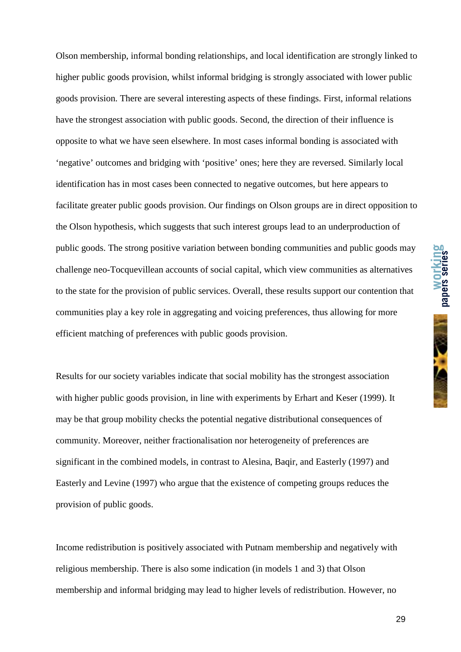Olson membership, informal bonding relationships, and local identification are strongly linked to higher public goods provision, whilst informal bridging is strongly associated with lower public goods provision. There are several interesting aspects of these findings. First, informal relations have the strongest association with public goods. Second, the direction of their influence is opposite to what we have seen elsewhere. In most cases informal bonding is associated with 'negative' outcomes and bridging with 'positive' ones; here they are reversed. Similarly local identification has in most cases been connected to negative outcomes, but here appears to facilitate greater public goods provision. Our findings on Olson groups are in direct opposition to the Olson hypothesis, which suggests that such interest groups lead to an underproduction of public goods. The strong positive variation between bonding communities and public goods may challenge neo-Tocquevillean accounts of social capital, which view communities as alternatives to the state for the provision of public services. Overall, these results support our contention that communities play a key role in aggregating and voicing preferences, thus allowing for more efficient matching of preferences with public goods provision.

Results for our society variables indicate that social mobility has the strongest association with higher public goods provision, in line with experiments by Erhart and Keser (1999). It may be that group mobility checks the potential negative distributional consequences of community. Moreover, neither fractionalisation nor heterogeneity of preferences are significant in the combined models, in contrast to Alesina, Baqir, and Easterly (1997) and Easterly and Levine (1997) who argue that the existence of competing groups reduces the provision of public goods.

Income redistribution is positively associated with Putnam membership and negatively with religious membership. There is also some indication (in models 1 and 3) that Olson membership and informal bridging may lead to higher levels of redistribution. However, no

29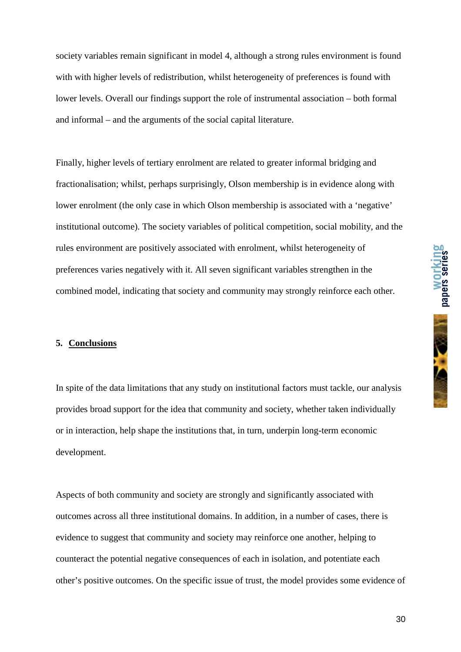society variables remain significant in model 4, although a strong rules environment is found with with higher levels of redistribution, whilst heterogeneity of preferences is found with lower levels. Overall our findings support the role of instrumental association – both formal and informal – and the arguments of the social capital literature.

Finally, higher levels of tertiary enrolment are related to greater informal bridging and fractionalisation; whilst, perhaps surprisingly, Olson membership is in evidence along with lower enrolment (the only case in which Olson membership is associated with a 'negative' institutional outcome). The society variables of political competition, social mobility, and the rules environment are positively associated with enrolment, whilst heterogeneity of preferences varies negatively with it. All seven significant variables strengthen in the combined model, indicating that society and community may strongly reinforce each other.

#### **5. Conclusions**

In spite of the data limitations that any study on institutional factors must tackle, our analysis provides broad support for the idea that community and society, whether taken individually or in interaction, help shape the institutions that, in turn, underpin long-term economic development.

Aspects of both community and society are strongly and significantly associated with outcomes across all three institutional domains. In addition, in a number of cases, there is evidence to suggest that community and society may reinforce one another, helping to counteract the potential negative consequences of each in isolation, and potentiate each other's positive outcomes. On the specific issue of trust, the model provides some evidence of **working**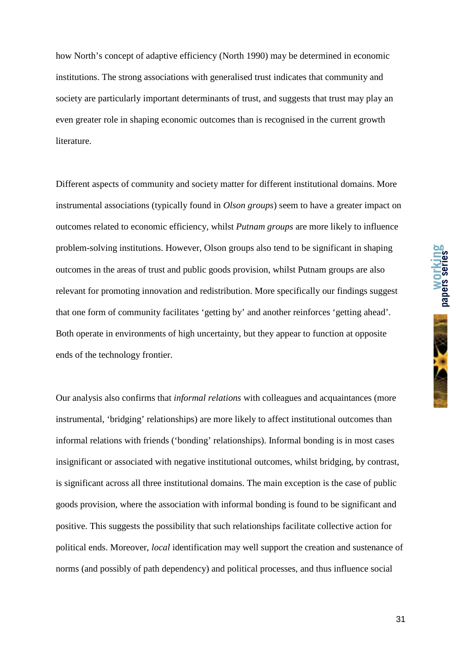how North's concept of adaptive efficiency (North 1990) may be determined in economic institutions. The strong associations with generalised trust indicates that community and society are particularly important determinants of trust, and suggests that trust may play an even greater role in shaping economic outcomes than is recognised in the current growth literature.

Different aspects of community and society matter for different institutional domains. More instrumental associations (typically found in *Olson groups*) seem to have a greater impact on outcomes related to economic efficiency, whilst *Putnam groups* are more likely to influence problem-solving institutions. However, Olson groups also tend to be significant in shaping outcomes in the areas of trust and public goods provision, whilst Putnam groups are also relevant for promoting innovation and redistribution. More specifically our findings suggest that one form of community facilitates 'getting by' and another reinforces 'getting ahead'. Both operate in environments of high uncertainty, but they appear to function at opposite ends of the technology frontier.

Our analysis also confirms that *informal relations* with colleagues and acquaintances (more instrumental, 'bridging' relationships) are more likely to affect institutional outcomes than informal relations with friends ('bonding' relationships). Informal bonding is in most cases insignificant or associated with negative institutional outcomes, whilst bridging, by contrast, is significant across all three institutional domains. The main exception is the case of public goods provision, where the association with informal bonding is found to be significant and positive. This suggests the possibility that such relationships facilitate collective action for political ends. Moreover, *local* identification may well support the creation and sustenance of norms (and possibly of path dependency) and political processes, and thus influence social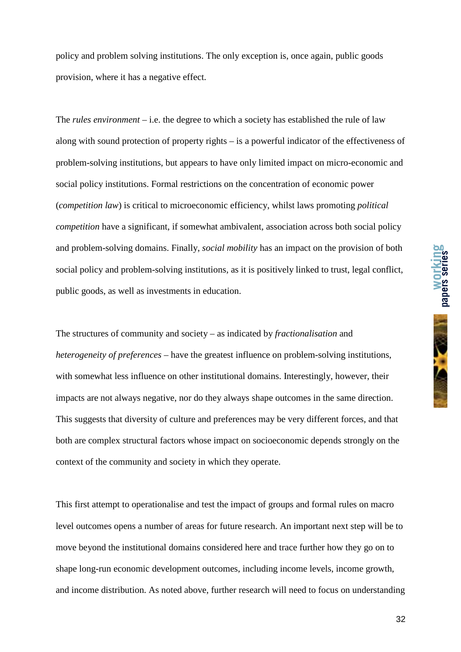policy and problem solving institutions. The only exception is, once again, public goods provision, where it has a negative effect.

The *rules environment* – i.e. the degree to which a society has established the rule of law along with sound protection of property rights – is a powerful indicator of the effectiveness of problem-solving institutions, but appears to have only limited impact on micro-economic and social policy institutions. Formal restrictions on the concentration of economic power (*competition law*) is critical to microeconomic efficiency, whilst laws promoting *political competition* have a significant, if somewhat ambivalent, association across both social policy and problem-solving domains. Finally, *social mobility* has an impact on the provision of both social policy and problem-solving institutions*,* as it is positively linked to trust, legal conflict, public goods, as well as investments in education.

The structures of community and society – as indicated by *fractionalisation* and *heterogeneity of preferences* – have the greatest influence on problem-solving institutions, with somewhat less influence on other institutional domains. Interestingly, however, their impacts are not always negative, nor do they always shape outcomes in the same direction. This suggests that diversity of culture and preferences may be very different forces, and that both are complex structural factors whose impact on socioeconomic depends strongly on the context of the community and society in which they operate.

This first attempt to operationalise and test the impact of groups and formal rules on macro level outcomes opens a number of areas for future research. An important next step will be to move beyond the institutional domains considered here and trace further how they go on to shape long-run economic development outcomes, including income levels, income growth, and income distribution. As noted above, further research will need to focus on understanding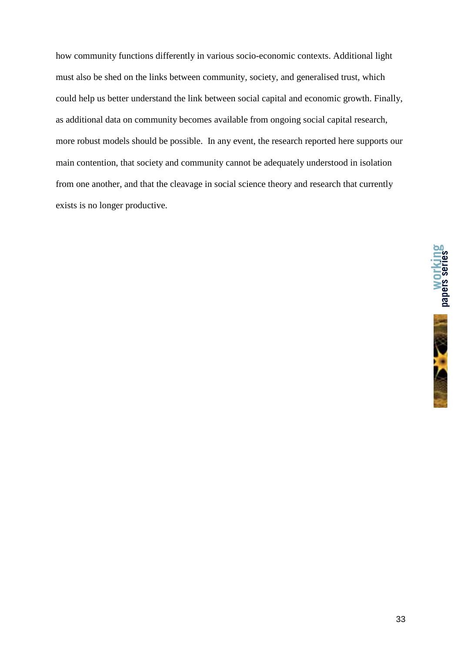how community functions differently in various socio-economic contexts. Additional light must also be shed on the links between community, society, and generalised trust, which could help us better understand the link between social capital and economic growth. Finally, as additional data on community becomes available from ongoing social capital research, more robust models should be possible. In any event, the research reported here supports our main contention, that society and community cannot be adequately understood in isolation from one another, and that the cleavage in social science theory and research that currently exists is no longer productive.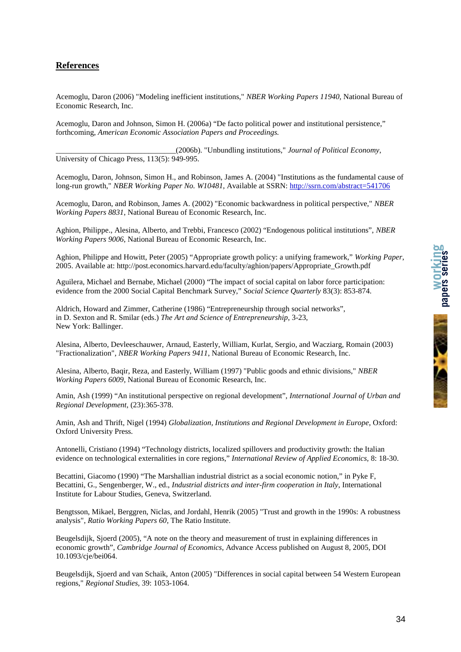# **References**

Acemoglu, Daron (2006) "Modeling inefficient institutions," *NBER Working Papers 11940*, National Bureau of Economic Research, Inc.

Acemoglu, Daron and Johnson, Simon H. (2006a) "De facto political power and institutional persistence," forthcoming, *American Economic Association Papers and Proceedings.*

\_\_\_\_\_\_\_\_\_\_\_\_\_\_\_\_\_\_\_\_\_\_\_\_\_\_\_\_\_\_\_(2006b). "Unbundling institutions," *Journal of Political Economy*, University of Chicago Press, 113(5): 949-995.

Acemoglu, Daron, Johnson, Simon H., and Robinson, James A. (2004) "Institutions as the fundamental cause of long-run growth," *NBER Working Paper No. W10481*, Available at SSRN: http://ssrn.com/abstract=541706

Acemoglu, Daron, and Robinson, James A. (2002) "Economic backwardness in political perspective," *NBER Working Papers 8831*, National Bureau of Economic Research, Inc.

Aghion, Philippe., Alesina, Alberto, and Trebbi, Francesco (2002) "Endogenous political institutions", *NBER Working Papers 9006*, National Bureau of Economic Research, Inc.

Aghion, Philippe and Howitt, Peter (2005) "Appropriate growth policy: a unifying framework," *Working Paper*, 2005. Available at: http://post.economics.harvard.edu/faculty/aghion/papers/Appropriate\_Growth.pdf

Aguilera, Michael and Bernabe, Michael (2000) "The impact of social capital on labor force participation: evidence from the 2000 Social Capital Benchmark Survey," *Social Science Quarterly* 83(3): 853-874.

Aldrich, Howard and Zimmer, Catherine (1986) "Entrepreneurship through social networks", in D. Sexton and R. Smilar (eds.) *The Art and Science of Entrepreneurship*, 3-23, New York: Ballinger.

Alesina, Alberto, Devleeschauwer, Arnaud, Easterly, William, Kurlat, Sergio, and Wacziarg, Romain (2003) "Fractionalization", *NBER Working Papers 9411*, National Bureau of Economic Research, Inc.

Alesina, Alberto, Baqir, Reza, and Easterly, William (1997) "Public goods and ethnic divisions," *NBER Working Papers 6009*, National Bureau of Economic Research, Inc.

Amin, Ash (1999) "An institutional perspective on regional development", *International Journal of Urban and Regional Development*, (23):365-378.

Amin, Ash and Thrift, Nigel (1994) *Globalization, Institutions and Regional Development in Europe*, Oxford: Oxford University Press.

Antonelli, Cristiano (1994) "Technology districts, localized spillovers and productivity growth: the Italian evidence on technological externalities in core regions," *International Review of Applied Economics,* 8: 18-30.

Becattini, Giacomo (1990) "The Marshallian industrial district as a social economic notion," in Pyke F, Becattini, G., Sengenberger, W., ed., *Industrial districts and inter-firm cooperation in Italy*, International Institute for Labour Studies, Geneva, Switzerland.

Bengtsson, Mikael, Berggren, Niclas, and Jordahl, Henrik (2005) "Trust and growth in the 1990s: A robustness analysis", *Ratio Working Papers 60*, The Ratio Institute.

Beugelsdijk, Sjoerd (2005), "A note on the theory and measurement of trust in explaining differences in economic growth", *Cambridge Journal of Economics*, Advance Access published on August 8, 2005, DOI 10.1093/cje/bei064.

Beugelsdijk, Sjoerd and van Schaik, Anton (2005) "Differences in social capital between 54 Western European regions," *Regional Studies,* 39: 1053-1064.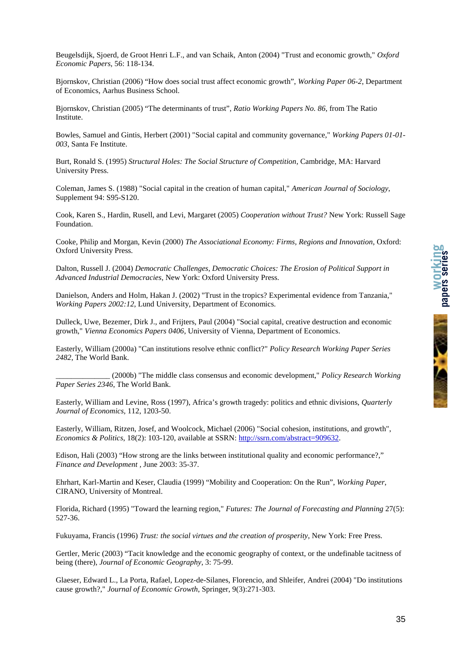

Beugelsdijk, Sjoerd, de Groot Henri L.F., and van Schaik, Anton (2004) "Trust and economic growth," *Oxford Economic Papers*, 56: 118-134.

Bjornskov, Christian (2006) "How does social trust affect economic growth", *Working Paper 06-2*, Department of Economics, Aarhus Business School.

Bjornskov, Christian (2005) "The determinants of trust", *Ratio Working Papers No. 86*, from The Ratio Institute.

Bowles, Samuel and Gintis, Herbert (2001) "Social capital and community governance," *Working Papers 01-01- 003*, Santa Fe Institute.

Burt, Ronald S. (1995) *Structural Holes: The Social Structure of Competition*, Cambridge, MA: Harvard University Press.

Coleman, James S. (1988) "Social capital in the creation of human capital," *American Journal of Sociology*, Supplement 94: S95-S120.

Cook, Karen S., Hardin, Rusell, and Levi, Margaret (2005) *Cooperation without Trust?* New York: Russell Sage Foundation.

Cooke, Philip and Morgan, Kevin (2000) *The Associational Economy: Firms, Regions and Innovation*, Oxford: Oxford University Press.

Dalton, Russell J. (2004) *Democratic Challenges, Democratic Choices: The Erosion of Political Support in Advanced Industrial Democracies*, New York: Oxford University Press.

Danielson, Anders and Holm, Hakan J. (2002) "Trust in the tropics? Experimental evidence from Tanzania," *Working Papers 2002:12*, Lund University, Department of Economics.

Dulleck, Uwe, Bezemer, Dirk J., and Frijters, Paul (2004) "Social capital, creative destruction and economic growth," *Vienna Economics Papers 0406*, University of Vienna, Department of Economics.

Easterly, William (2000a) "Can institutions resolve ethnic conflict?" *Policy Research Working Paper Series 2482*, The World Bank.

\_\_\_\_\_\_\_\_\_\_\_\_\_\_ (2000b) "The middle class consensus and economic development," *Policy Research Working Paper Series 2346*, The World Bank.

Easterly, William and Levine, Ross (1997), Africa's growth tragedy: politics and ethnic divisions, *Quarterly Journal of Economics,* 112, 1203-50.

Easterly, William, Ritzen, Josef, and Woolcock, Michael (2006) "Social cohesion, institutions, and growth", *Economics & Politics*, 18(2): 103-120, available at SSRN: http://ssrn.com/abstract=909632.

Edison, Hali (2003) "How strong are the links between institutional quality and economic performance?," *Finance and Development ,* June 2003: 35-37.

Ehrhart, Karl-Martin and Keser, Claudia (1999) "Mobility and Cooperation: On the Run", *Working Paper*, CIRANO, University of Montreal.

Florida, Richard (1995) "Toward the learning region," *Futures: The Journal of Forecasting and Planning* 27(5): 527-36.

Fukuyama, Francis (1996) *Trust: the social virtues and the creation of prosperity*, New York: Free Press.

Gertler, Meric (2003) "Tacit knowledge and the economic geography of context, or the undefinable tacitness of being (there), *Journal of Economic Geography*, 3: 75-99.

Glaeser, Edward L., La Porta, Rafael, Lopez-de-Silanes, Florencio, and Shleifer, Andrei (2004) "Do institutions cause growth?," *Journal of Economic Growth*, Springer, 9(3):271-303.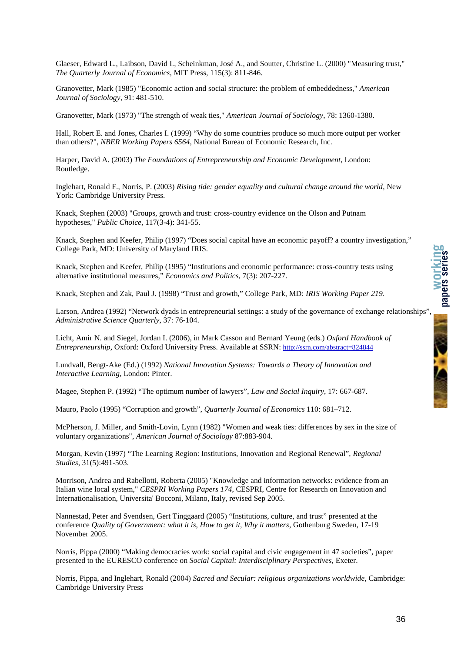Glaeser, Edward L., Laibson, David I., Scheinkman, José A., and Soutter, Christine L. (2000) "Measuring trust," *The Quarterly Journal of Economics*, MIT Press, 115(3): 811-846.

Granovetter, Mark (1985) "Economic action and social structure: the problem of embeddedness," *American Journal of Sociology*, 91: 481-510.

Granovetter, Mark (1973) "The strength of weak ties," *American Journal of Sociology*, 78: 1360-1380.

Hall, Robert E. and Jones, Charles I. (1999) "Why do some countries produce so much more output per worker than others?", *NBER Working Papers 6564*, National Bureau of Economic Research, Inc.

Harper, David A. (2003) *The Foundations of Entrepreneurship and Economic Development*, London: Routledge.

Inglehart, Ronald F., Norris, P. (2003) *Rising tide: gender equality and cultural change around the world*, New York: Cambridge University Press.

Knack, Stephen (2003) "Groups, growth and trust: cross-country evidence on the Olson and Putnam hypotheses," *Public Choice*, 117(3-4): 341-55.

Knack, Stephen and Keefer, Philip (1997) "Does social capital have an economic payoff? a country investigation," College Park, MD: University of Maryland IRIS.

Knack, Stephen and Keefer, Philip (1995) "Institutions and economic performance: cross-country tests using alternative institutional measures," *Economics and Politics,* 7(3): 207-227.

Knack, Stephen and Zak, Paul J. (1998) "Trust and growth," College Park, MD: *IRIS Working Paper 219*.

Larson, Andrea (1992) "Network dyads in entrepreneurial settings: a study of the governance of exchange relationships" *Administrative Science Quarterly*, 37: 76-104.

Licht, Amir N. and Siegel, Jordan I. (2006), in Mark Casson and Bernard Yeung (eds.) *Oxford Handbook of Entrepreneurship*, Oxford: Oxford University Press. Available at SSRN: http://ssrn.com/abstract=824844

Lundvall, Bengt-Ake (Ed.) (1992) *National Innovation Systems: Towards a Theory of Innovation and Interactive Learning*, London: Pinter.

Magee, Stephen P. (1992) "The optimum number of lawyers", *Law and Social Inquiry*, 17: 667-687.

Mauro, Paolo (1995) "Corruption and growth", *Quarterly Journal of Economics* 110: 681–712.

McPherson, J. Miller, and Smith-Lovin, Lynn (1982) "Women and weak ties: differences by sex in the size of voluntary organizations", *American Journal of Sociology* 87:883-904.

Morgan, Kevin (1997) "The Learning Region: Institutions, Innovation and Regional Renewal", *Regional Studies*, 31(5):491-503.

Morrison, Andrea and Rabellotti, Roberta (2005) "Knowledge and information networks: evidence from an Italian wine local system," *CESPRI Working Papers 174*, CESPRI, Centre for Research on Innovation and Internationalisation, Universita' Bocconi, Milano, Italy, revised Sep 2005.

Nannestad, Peter and Svendsen, Gert Tinggaard (2005) "Institutions, culture, and trust" presented at the conference *Quality of Government: what it is, How to get it, Why it matters*, Gothenburg Sweden, 17-19 November 2005.

Norris, Pippa (2000) "Making democracies work: social capital and civic engagement in 47 societies", paper presented to the EURESCO conference on *Social Capital: Interdisciplinary Perspectives*, Exeter.

Norris, Pippa, and Inglehart, Ronald (2004) *Sacred and Secular: religious organizations worldwide*, Cambridge: Cambridge University Press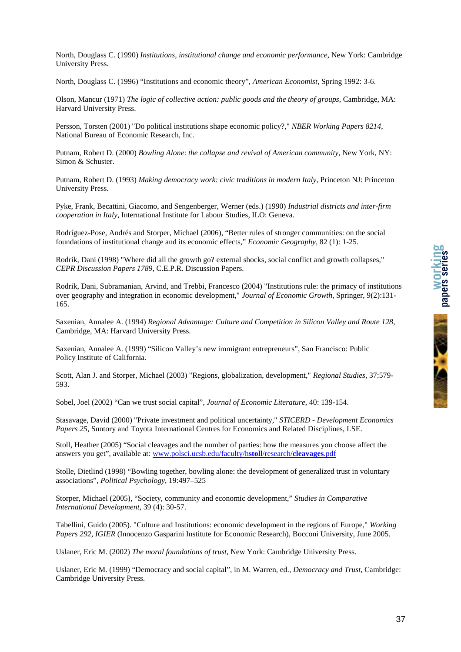

North, Douglass C. (1990) *Institutions, institutional change and economic performance*, New York: Cambridge University Press.

North, Douglass C. (1996) "Institutions and economic theory", *American Economist*, Spring 1992: 3-6.

Olson, Mancur (1971) *The logic of collective action: public goods and the theory of groups*, Cambridge, MA: Harvard University Press.

Persson, Torsten (2001) "Do political institutions shape economic policy?," *NBER Working Papers 8214*, National Bureau of Economic Research, Inc.

Putnam, Robert D. (2000) *Bowling Alone*: *the collapse and revival of American community*, New York, NY: Simon & Schuster.

Putnam, Robert D. (1993) *Making democracy work: civic traditions in modern Italy*, Princeton NJ: Princeton University Press.

Pyke, Frank, Becattini, Giacomo, and Sengenberger, Werner (eds.) (1990) *Industrial districts and inter-firm cooperation in Italy*, International Institute for Labour Studies, ILO: Geneva.

Rodríguez-Pose, Andrés and Storper, Michael (2006), "Better rules of stronger communities: on the social foundations of institutional change and its economic effects," *Economic Geography*, 82 (1): 1-25.

Rodrik, Dani (1998) "Where did all the growth go? external shocks, social conflict and growth collapses," *CEPR Discussion Papers 1789*, C.E.P.R. Discussion Papers.

Rodrik, Dani, Subramanian, Arvind, and Trebbi, Francesco (2004) "Institutions rule: the primacy of institutions over geography and integration in economic development," *Journal of Economic Growth*, Springer, 9(2):131- 165.

Saxenian, Annalee A. (1994) *Regional Advantage: Culture and Competition in Silicon Valley and Route 128*, Cambridge, MA: Harvard University Press.

Saxenian, Annalee A. (1999) "Silicon Valley's new immigrant entrepreneurs", San Francisco: Public Policy Institute of California.

Scott, Alan J. and Storper, Michael (2003) "Regions, globalization, development," *Regional Studies*, 37:579- 593.

Sobel, Joel (2002) "Can we trust social capital", *Journal of Economic Literature*, 40: 139-154.

Stasavage, David (2000) "Private investment and political uncertainty," *STICERD - Development Economics Papers 25*, Suntory and Toyota International Centres for Economics and Related Disciplines, LSE.

Stoll, Heather (2005) "Social cleavages and the number of parties: how the measures you choose affect the answers you get", available at: www.polsci.ucsb.edu/faculty/h**stoll**/research/**cleavages**.pdf

Stolle, Dietlind (1998) "Bowling together, bowling alone: the development of generalized trust in voluntary associations", *Political Psychology*, 19:497–525

Storper, Michael (2005), "Society, community and economic development," *Studies in Comparative International Development,* 39 (4): 30-57.

Tabellini, Guido (2005). "Culture and Institutions: economic development in the regions of Europe," *Working Papers 292, IGIER* (Innocenzo Gasparini Institute for Economic Research), Bocconi University, June 2005.

Uslaner, Eric M. (2002) *The moral foundations of trust*, New York: Cambridge University Press.

Uslaner, Eric M. (1999) "Democracy and social capital", in M. Warren, ed., *Democracy and Trust*, Cambridge: Cambridge University Press.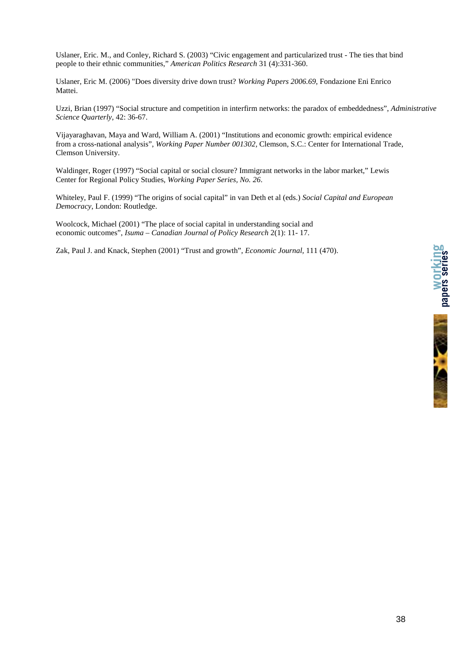Uslaner, Eric. M., and Conley, Richard S. (2003) "Civic engagement and particularized trust - The ties that bind people to their ethnic communities," *American Politics Research* 31 (4):331-360.

Uslaner, Eric M. (2006) "Does diversity drive down trust? *Working Papers 2006.69*, Fondazione Eni Enrico Mattei.

Uzzi, Brian (1997) "Social structure and competition in interfirm networks: the paradox of embeddedness", *Administrative Science Quarterly*, 42: 36-67.

Vijayaraghavan, Maya and Ward, William A. (2001) "Institutions and economic growth: empirical evidence from a cross-national analysis", *Working Paper Number 001302,* Clemson, S.C.: Center for International Trade, Clemson University.

Waldinger, Roger (1997) "Social capital or social closure? Immigrant networks in the labor market," Lewis Center for Regional Policy Studies, *Working Paper Series, No. 26*.

Whiteley, Paul F. (1999) "The origins of social capital" in van Deth et al (eds.) *Social Capital and European Democracy*, London: Routledge.

Woolcock, Michael (2001) "The place of social capital in understanding social and economic outcomes", *Isuma – Canadian Journal of Policy Research* 2(1): 11- 17.

Zak, Paul J. and Knack, Stephen (2001) "Trust and growth", *Economic Journal,* 111 (470).



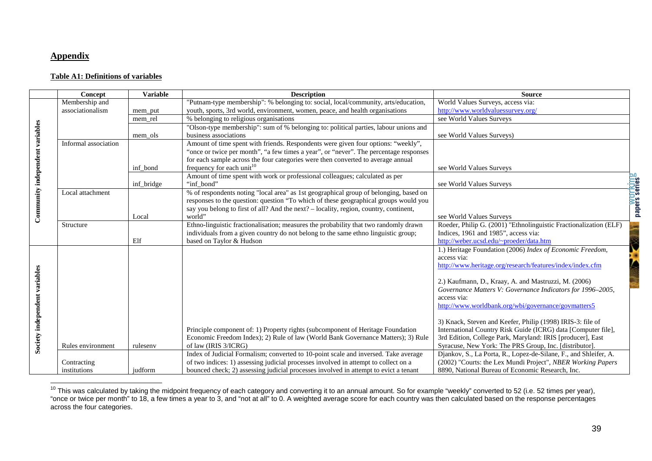#### **Appendix**

#### **Table A1: Definitions of variables**

|                                 | Concept              | <b>Variable</b> | <b>Description</b>                                                                    | <b>Source</b>                                                     |
|---------------------------------|----------------------|-----------------|---------------------------------------------------------------------------------------|-------------------------------------------------------------------|
|                                 | Membership and       |                 | "Putnam-type membership": % belonging to: social, local/community, arts/education,    | World Values Surveys, access via:                                 |
|                                 | associationalism     | mem_put         | youth, sports, 3rd world, environment, women, peace, and health organisations         | http://www.worldvaluessurvey.org/                                 |
|                                 |                      | mem rel         | % belonging to religious organisations                                                | see World Values Surveys                                          |
|                                 |                      |                 | "Olson-type membership": sum of % belonging to: political parties, labour unions and  |                                                                   |
|                                 |                      | mem ols         | business associations                                                                 | see World Values Surveys)                                         |
|                                 | Informal association |                 | Amount of time spent with friends. Respondents were given four options: "weekly",     |                                                                   |
|                                 |                      |                 | "once or twice per month", "a few times a year", or "never". The percentage responses |                                                                   |
|                                 |                      |                 | for each sample across the four categories were then converted to average annual      |                                                                   |
|                                 |                      | inf_bond        | frequency for each unit <sup>10</sup>                                                 | see World Values Surveys                                          |
|                                 |                      |                 | Amount of time spent with work or professional colleagues; calculated as per          |                                                                   |
|                                 |                      | inf bridge      | "inf bond"                                                                            | see World Values Surveys                                          |
| Community independent variables | Local attachment     |                 | % of respondents noting "local area" as 1st geographical group of belonging, based on |                                                                   |
|                                 |                      |                 | responses to the question: question "To which of these geographical groups would you  |                                                                   |
|                                 |                      |                 | say you belong to first of all? And the next? – locality, region, country, continent, |                                                                   |
|                                 |                      | Local           | world"                                                                                | see World Values Surveys                                          |
|                                 | Structure            |                 | Ethno-linguistic fractionalisation; measures the probability that two randomly drawn  | Roeder, Philip G. (2001) "Ethnolinguistic Fractionalization (ELF) |
|                                 |                      |                 | individuals from a given country do not belong to the same ethno linguistic group;    | Indices, 1961 and 1985", access via:                              |
|                                 |                      | Elf             | based on Taylor & Hudson                                                              | http://weber.ucsd.edu/~proeder/data.htm                           |
|                                 |                      |                 |                                                                                       | 1.) Heritage Foundation (2006) Index of Economic Freedom,         |
|                                 |                      |                 |                                                                                       | access via:                                                       |
|                                 |                      |                 |                                                                                       | http://www.heritage.org/research/features/index/index.cfm         |
|                                 |                      |                 |                                                                                       |                                                                   |
|                                 |                      |                 |                                                                                       | 2.) Kaufmann, D., Kraay, A. and Mastruzzi, M. (2006)              |
|                                 |                      |                 |                                                                                       | Governance Matters V: Governance Indicators for 1996-2005,        |
|                                 |                      |                 |                                                                                       | access via:                                                       |
|                                 |                      |                 |                                                                                       | http://www.worldbank.org/wbi/governance/govmatters5               |
|                                 |                      |                 |                                                                                       | 3) Knack, Steven and Keefer, Philip (1998) IRIS-3: file of        |
|                                 |                      |                 | Principle component of: 1) Property rights (subcomponent of Heritage Foundation       | International Country Risk Guide (ICRG) data [Computer file],     |
|                                 |                      |                 | Economic Freedom Index); 2) Rule of law (World Bank Governance Matters); 3) Rule      | 3rd Edition, College Park, Maryland: IRIS [producer], East        |
| Society independent variables   | Rules environment    | rulesenv        | of law (IRIS 3/ICRG)                                                                  | Syracuse, New York: The PRS Group, Inc. [distributor].            |
|                                 |                      |                 | Index of Judicial Formalism; converted to 10-point scale and inversed. Take average   | Djankov, S., La Porta, R., Lopez-de-Silane, F., and Shleifer, A.  |
|                                 | Contracting          |                 | of two indices: 1) assessing judicial processes involved in attempt to collect on a   | (2002) "Courts: the Lex Mundi Project", NBER Working Papers       |
|                                 |                      |                 |                                                                                       |                                                                   |

<sup>&</sup>lt;sup>10</sup> This was calculated by taking the midpoint frequency of each category and converting it to an annual amount. So for example "weekly" converted to 52 (i.e. 52 times per year),<br>"once or twice per month" to 18, a few tim across the four categories.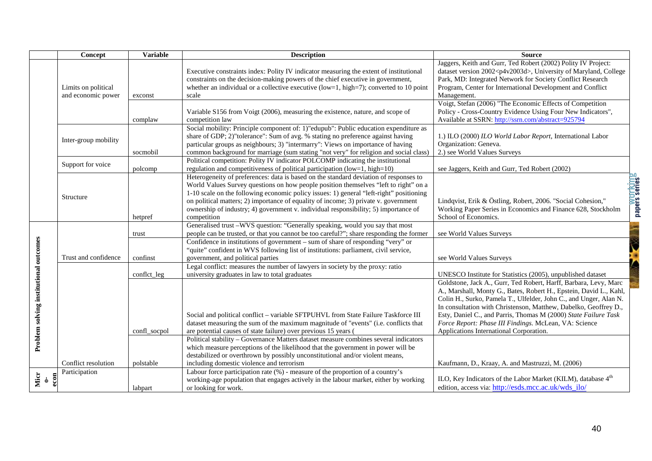|                                        | Concept                                   | <b>Variable</b> | <b>Description</b>                                                                                                                                                                                                                                                                                                                                                                                                                                                    | <b>Source</b>                                                                                                                                                                                                                                                                                                                                                                                                                                          |
|----------------------------------------|-------------------------------------------|-----------------|-----------------------------------------------------------------------------------------------------------------------------------------------------------------------------------------------------------------------------------------------------------------------------------------------------------------------------------------------------------------------------------------------------------------------------------------------------------------------|--------------------------------------------------------------------------------------------------------------------------------------------------------------------------------------------------------------------------------------------------------------------------------------------------------------------------------------------------------------------------------------------------------------------------------------------------------|
|                                        | Limits on political<br>and economic power | exconst         | Executive constraints index: Polity IV indicator measuring the extent of institutional<br>constraints on the decision-making powers of the chief executive in government,<br>whether an individual or a collective executive (low=1, high=7); converted to 10 point<br>scale                                                                                                                                                                                          | Jaggers, Keith and Gurr, Ted Robert (2002) Polity IV Project:<br>dataset version 2002 <p4v2003d>, University of Maryland, College<br/>Park, MD: Integrated Network for Society Conflict Research<br/>Program, Center for International Development and Conflict<br/>Management.</p4v2003d>                                                                                                                                                             |
|                                        |                                           | complaw         | Variable S156 from Voigt (2006), measuring the existence, nature, and scope of<br>competition law                                                                                                                                                                                                                                                                                                                                                                     | Voigt, Stefan (2006) "The Economic Effects of Competition<br>Policy - Cross-Country Evidence Using Four New Indicators",<br>Available at SSRN: http://ssrn.com/abstract=925794                                                                                                                                                                                                                                                                         |
|                                        | Inter-group mobility                      | socmobil        | Social mobility: Principle component of: 1)"edupub": Public education expenditure as<br>share of GDP; 2)"tolerance": Sum of avg. % stating no preference against having<br>particular groups as neighbours; 3) "intermarry": Views on importance of having<br>common background for marriage (sum stating "not very" for religion and social class)                                                                                                                   | 1.) ILO (2000) ILO World Labor Report, International Labor<br>Organization: Geneva.<br>2.) see World Values Surveys                                                                                                                                                                                                                                                                                                                                    |
|                                        | Support for voice                         | polcomp         | Political competition: Polity IV indicator POLCOMP indicating the institutional<br>regulation and competitiveness of political participation (low=1, high=10)                                                                                                                                                                                                                                                                                                         | see Jaggers, Keith and Gurr, Ted Robert (2002)                                                                                                                                                                                                                                                                                                                                                                                                         |
|                                        | Structure                                 | hetpref         | Heterogeneity of preferences: data is based on the standard deviation of responses to<br>World Values Survey questions on how people position themselves "left to right" on a<br>1-10 scale on the following economic policy issues: 1) general "left-right" positioning<br>on political matters; 2) importance of equality of income; 3) private v. government<br>ownership of industry; 4) government v. individual responsibility; 5) importance of<br>competition | <b>Papers series</b><br>Papers series<br>Lindqvist, Erik & Östling, Robert, 2006. "Social Cohesion,"<br>Working Paper Series in Economics and Finance 628, Stockholm<br>School of Economics.                                                                                                                                                                                                                                                           |
|                                        |                                           | trust           | Generalised trust -WVS question: "Generally speaking, would you say that most<br>people can be trusted, or that you cannot be too careful?"; share responding the former                                                                                                                                                                                                                                                                                              | see World Values Surveys                                                                                                                                                                                                                                                                                                                                                                                                                               |
|                                        | Trust and confidence                      | confinst        | Confidence in institutions of government – sum of share of responding "very" or<br>"quite" confident in WVS following list of institutions: parliament, civil service,<br>government, and political parties                                                                                                                                                                                                                                                           | see World Values Surveys                                                                                                                                                                                                                                                                                                                                                                                                                               |
|                                        |                                           | conflct_leg     | Legal conflict: measures the number of lawyers in society by the proxy: ratio<br>university graduates in law to total graduates                                                                                                                                                                                                                                                                                                                                       | UNESCO Institute for Statistics (2005), unpublished dataset                                                                                                                                                                                                                                                                                                                                                                                            |
| Problem solving institutional outcomes |                                           | confl_socpol    | Social and political conflict - variable SFTPUHVL from State Failure Taskforce III<br>dataset measuring the sum of the maximum magnitude of "events" (i.e. conflicts that<br>are potential causes of state failure) over previous 15 years (                                                                                                                                                                                                                          | Goldstone, Jack A., Gurr, Ted Robert, Harff, Barbara, Levy, Marc<br>A., Marshall, Monty G., Bates, Robert H., Epstein, David L., Kahl,<br>Colin H., Surko, Pamela T., Ulfelder, John C., and Unger, Alan N.<br>In consultation with Christenson, Matthew, Dabelko, Geoffrey D.,<br>Esty, Daniel C., and Parris, Thomas M (2000) State Failure Task<br>Force Report: Phase III Findings. McLean, VA: Science<br>Applications International Corporation. |
|                                        | Conflict resolution                       | polstable       | Political stability - Governance Matters dataset measure combines several indicators<br>which measure perceptions of the likelihood that the government in power will be<br>destabilized or overthrown by possibly unconstitutional and/or violent means,<br>including domestic violence and terrorism                                                                                                                                                                | Kaufmann, D., Kraay, A. and Mastruzzi, M. (2006)                                                                                                                                                                                                                                                                                                                                                                                                       |
| Micr $_{0-}$<br>$\mathbf{5}$           | Participation                             | labpart         | Labour force participation rate (%) - measure of the proportion of a country's<br>working-age population that engages actively in the labour market, either by working<br>or looking for work.                                                                                                                                                                                                                                                                        | ILO, Key Indicators of the Labor Market (KILM), database 4 <sup>th</sup><br>edition, access via: http://esds.mcc.ac.uk/wds ilo/                                                                                                                                                                                                                                                                                                                        |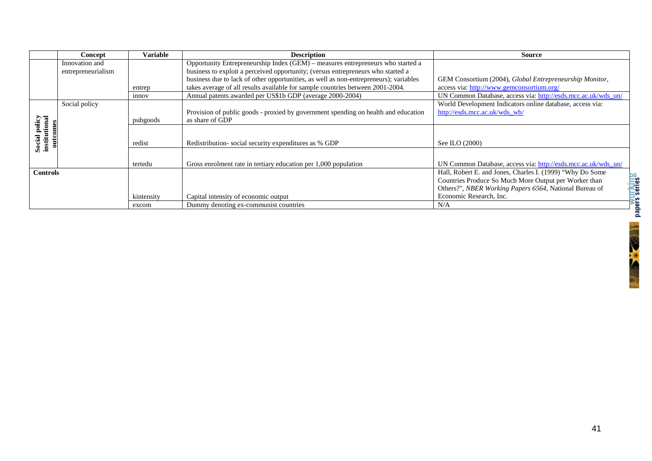|                                            | Concept                              | Variable   | <b>Description</b>                                                                                                                                                  | Source                                                                                                                                                                       |
|--------------------------------------------|--------------------------------------|------------|---------------------------------------------------------------------------------------------------------------------------------------------------------------------|------------------------------------------------------------------------------------------------------------------------------------------------------------------------------|
|                                            | Innovation and<br>entrepreneurialism |            | Opportunity Entrepreneurship Index (GEM) – measures entrepreneurs who started a<br>business to exploit a perceived opportunity; (versus entrepreneurs who started a |                                                                                                                                                                              |
|                                            |                                      |            | business due to lack of other opportunities, as well as non-entrepreneurs); variables                                                                               | GEM Consortium (2004), Global Entrepreneurship Monitor,                                                                                                                      |
|                                            |                                      | entrep     | takes average of all results available for sample countries between 2001-2004.                                                                                      | access via: http://www.gemconsortium.org/                                                                                                                                    |
|                                            |                                      | innov      | Annual patents awarded per US\$1b GDP (average 2000-2004)                                                                                                           | UN Common Database, access via: http://esds.mcc.ac.uk/wds_un/                                                                                                                |
|                                            | Social policy                        | pubgoods   | Provision of public goods - proxied by government spending on health and education<br>as share of GDP                                                               | World Development Indicators online database, access via:<br>http://esds.mcc.ac.uk/wds_wb/                                                                                   |
| Social policy<br>institutional<br>outcomes |                                      | redist     | Redistribution-social security expenditures as % GDP                                                                                                                | See ILO (2000)                                                                                                                                                               |
|                                            |                                      | tertedu    | Gross enrolment rate in tertiary education per 1,000 population                                                                                                     | UN Common Database, access via: http://esds.mcc.ac.uk/wds_un/                                                                                                                |
| <b>Controls</b>                            |                                      |            |                                                                                                                                                                     | Hall, Robert E. and Jones, Charles I. (1999) "Why Do Some<br>Countries Produce So Much More Output per Worker than<br>Others?", NBER Working Papers 6564, National Bureau of |
|                                            |                                      | kintensity | Capital intensity of economic output                                                                                                                                | Economic Research, Inc.                                                                                                                                                      |
|                                            |                                      | excom      | Dummy denoting ex-communist countries                                                                                                                               | N/A                                                                                                                                                                          |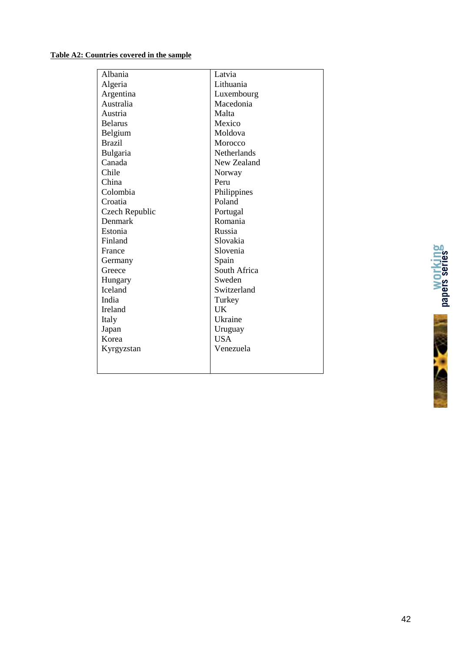#### **Table A2: Countries covered in the sample**

| Albania         | Latvia             |
|-----------------|--------------------|
| Algeria         | Lithuania          |
| Argentina       | Luxembourg         |
| Australia       | Macedonia          |
| Austria         | Malta              |
| <b>Belarus</b>  | Mexico             |
| Belgium         | Moldova            |
| <b>Brazil</b>   | Morocco            |
| <b>Bulgaria</b> | <b>Netherlands</b> |
| Canada          | New Zealand        |
| Chile           | Norway             |
| China           | Peru               |
| Colombia        | Philippines        |
| Croatia         | Poland             |
| Czech Republic  | Portugal           |
| Denmark         | Romania            |
| Estonia         | Russia             |
| Finland         | Slovakia           |
| France          | Slovenia           |
| Germany         | Spain              |
| Greece          | South Africa       |
| Hungary         | Sweden             |
| <b>Iceland</b>  | Switzerland        |
| India           | Turkey             |
| Ireland         | UK                 |
| Italy           | Ukraine            |
| Japan           | Uruguay            |
| Korea           | <b>USA</b>         |
| Kyrgyzstan      | Venezuela          |
|                 |                    |
|                 |                    |

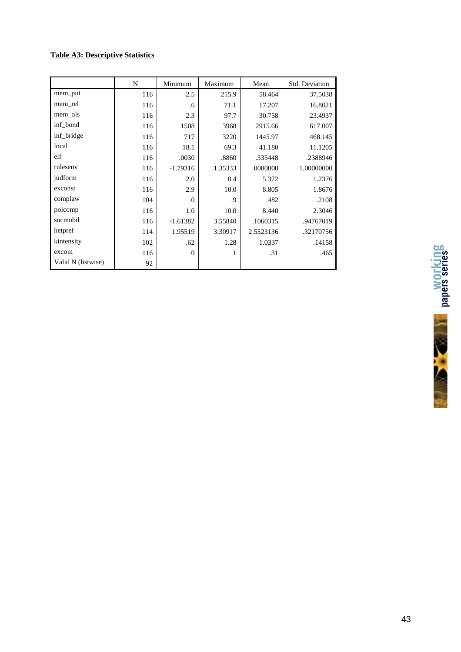#### **Table A3: Descriptive Statistics**

|                    | N   | Minimum    | Maximum | Mean      | Std. Deviation |
|--------------------|-----|------------|---------|-----------|----------------|
| mem_put            | 116 | 2.5        | 215.9   | 58.464    | 37.5038        |
| mem rel            | 116 | .6         | 71.1    | 17.207    | 16.8021        |
| mem ols            | 116 | 2.3        | 97.7    | 30.758    | 23.4937        |
| inf bond           | 116 | 1508       | 3968    | 2915.66   | 617.007        |
| inf bridge         | 116 | 717        | 3220    | 1445.97   | 468.145        |
| local              | 116 | 18.1       | 69.3    | 41.180    | 11.1205        |
| elf                | 116 | .0030      | .8860   | .335448   | .2388946       |
| ruleseny           | 116 | $-1.79316$ | 1.35333 | .0000000  | 1.00000000     |
| judform            | 116 | 2.0        | 8.4     | 5.372     | 1.2376         |
| exconst            | 116 | 2.9        | 10.0    | 8.805     | 1.8676         |
| complaw            | 104 | $\cdot$    | .9      | .482      | .2108          |
| polcomp            | 116 | 1.0        | 10.0    | 8.440     | 2.3046         |
| socmobil           | 116 | $-1.61382$ | 3.55840 | .1060315  | .94767019      |
| hetpref            | 114 | 1.95519    | 3.30917 | 2.5523136 | .32170756      |
| kintensity         | 102 | .62        | 1.28    | 1.0337    | .14158         |
| excom              | 116 | $\Omega$   | 1       | .31       | .465           |
| Valid N (listwise) | 92  |            |         |           |                |



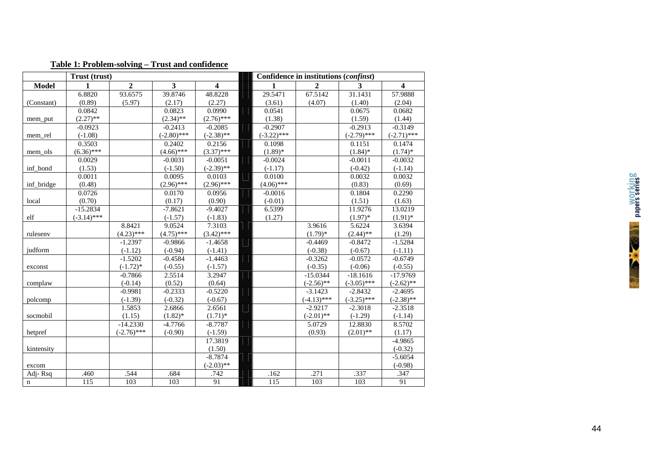|              | Trust (trust) |                |                         |                         | Confidence in institutions (confinst) |               |               |                         |  |  |  |
|--------------|---------------|----------------|-------------------------|-------------------------|---------------------------------------|---------------|---------------|-------------------------|--|--|--|
| <b>Model</b> | $\mathbf{1}$  | $\overline{2}$ | $\overline{\mathbf{3}}$ | $\overline{\mathbf{4}}$ | 1                                     | $\mathbf{2}$  | 3             | $\overline{\mathbf{4}}$ |  |  |  |
|              | 6.8820        | 93.6575        | 39.8746                 | 48.8228                 | 29.5471                               | 67.5142       | 31.1431       | 57.9888                 |  |  |  |
| (Constant)   | (0.89)        | (5.97)         | (2.17)                  | (2.27)                  | (3.61)                                | (4.07)        | (1.40)        | (2.04)                  |  |  |  |
|              | 0.0842        |                | 0.0823                  | 0.0990                  | 0.0541                                |               | 0.0675        | 0.0682                  |  |  |  |
| mem_put      | $(2.27)$ **   |                | $(2.34)$ **             | $(2.76)$ ***            | (1.38)                                |               | (1.59)        | (1.44)                  |  |  |  |
|              | $-0.0923$     |                | $-0.2413$               | $-0.2085$               | $-0.2907$                             |               | $-0.2913$     | $-0.3149$               |  |  |  |
| mem rel      | $(-1.08)$     |                | $(-2.80)$ ***           | $(-2.38)$ **            | $(-3.22)$ ***                         |               | $(-2.79)$ *** | $(-2.71)$ ***           |  |  |  |
|              | 0.3503        |                | 0.2402                  | 0.2156                  | 0.1098                                |               | 0.1151        | 0.1474                  |  |  |  |
| mem ols      | $(6.36)$ ***  |                | $(4.66)$ ***            | $(3.37)$ ***            | $(1.89)$ *                            |               | $(1.84)$ *    | $(1.74)$ *              |  |  |  |
|              | 0.0029        |                | $-0.0031$               | $-0.0051$               | $-0.0024$                             |               | $-0.0011$     | $-0.0032$               |  |  |  |
| inf bond     | (1.53)        |                | $(-1.50)$               | $(-2.39)$ **            | $(-1.17)$                             |               | $(-0.42)$     | $(-1.14)$               |  |  |  |
|              | 0.0011        |                | 0.0095                  | 0.0103                  | 0.0100                                |               | 0.0032        | 0.0032                  |  |  |  |
| inf_bridge   | (0.48)        |                | $(2.96)$ ***            | $(2.96)$ ***            | $(4.06)$ ***                          |               | (0.83)        | (0.69)                  |  |  |  |
|              | 0.0726        |                | 0.0170                  | 0.0956                  | $-0.0016$                             |               | 0.1804        | 0.2290                  |  |  |  |
| local        | (0.70)        |                | (0.17)                  | (0.90)                  | $(-0.01)$                             |               | (1.51)        | (1.63)                  |  |  |  |
|              | $-15.2834$    |                | $-7.8621$               | $-9.4027$               | 6.5399                                |               | 11.9276       | 13.0219                 |  |  |  |
| elf          | $(-3.14)$ *** |                | $(-1.57)$               | $(-1.83)$               | (1.27)                                |               | $(1.97)$ *    | $(1.91)$ *              |  |  |  |
|              |               | 8.8421         | 9.0524                  | 7.3103                  |                                       | 3.9616        | 5.6224        | 3.6394                  |  |  |  |
| rulesenv     |               | $(4.23)$ ***   | $(4.75)$ ***            | $(3.42)$ ***            |                                       | $(1.79)^*$    | $(2.44)$ **   | (1.29)                  |  |  |  |
|              |               | $-1.2397$      | $-0.9866$               | $-1.4658$               |                                       | $-0.4469$     | $-0.8472$     | $-1.5284$               |  |  |  |
| judform      |               | $(-1.12)$      | $(-0.94)$               | $(-1.41)$               |                                       | $(-0.38)$     | $(-0.67)$     | $(-1.11)$               |  |  |  |
|              |               | $-1.5202$      | $-0.4584$               | $-1.4463$               |                                       | $-0.3262$     | $-0.0572$     | $-0.6749$               |  |  |  |
| exconst      |               | $(-1.72)*$     | $(-0.55)$               | $(-1.57)$               |                                       | $(-0.35)$     | $(-0.06)$     | $(-0.55)$               |  |  |  |
|              |               | $-0.7866$      | 2.5514                  | 3.2947                  |                                       | $-15.0344$    | $-18.1616$    | $-17.9769$              |  |  |  |
| complaw      |               | $(-0.14)$      | (0.52)                  | (0.64)                  |                                       | $(-2.56)$ **  | $(-3.05)$ *** | $(-2.62)$ **            |  |  |  |
|              |               | $-0.9981$      | $-0.2333$               | $-0.5220$               |                                       | $-3.1423$     | $-2.8432$     | $-2.4695$               |  |  |  |
| polcomp      |               | $(-1.39)$      | $(-0.32)$               | $(-0.67)$               |                                       | $(-4.13)$ *** | $(-3.25)$ *** | $(-2.38)$ **            |  |  |  |
|              |               | 1.5853         | 2.6866                  | 2.6561                  |                                       | $-2.9217$     | $-2.3018$     | $-2.3518$               |  |  |  |
| socmobil     |               | (1.15)         | $(1.82)$ *              | $(1.71)$ *              |                                       | $(-2.01)$ **  | $(-1.29)$     | $(-1.14)$               |  |  |  |
|              |               | $-14.2330$     | $-4.7766$               | $-8.7787$               |                                       | 5.0729        | 12.8830       | 8.5702                  |  |  |  |
| hetpref      |               | $(-2.76)$ ***  | $(-0.90)$               | $(-1.59)$               |                                       | (0.93)        | $(2.01)$ **   | (1.17)                  |  |  |  |
|              |               |                |                         | 17.3819                 |                                       |               |               | $-4.9865$               |  |  |  |
| kintensity   |               |                |                         | (1.50)                  |                                       |               |               | $(-0.32)$               |  |  |  |
|              |               |                |                         | $-8.7874$               |                                       |               |               | $-5.6054$               |  |  |  |
| excom        |               |                |                         | $(-2.03)$ **            |                                       |               |               | $(-0.98)$               |  |  |  |
| Adj-Rsq      | .460          | .544           | .684                    | .742                    | .162                                  | .271          | .337          | .347                    |  |  |  |
| $\mathbf n$  | 115           | 103            | 103                     | 91                      | $\overline{115}$                      | 103           | 103           | 91                      |  |  |  |

### **Table 1: Problem-solving – Trust and confidence**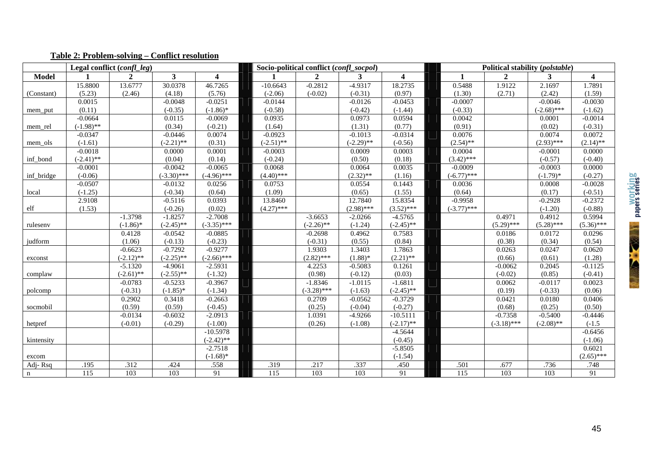|              |                   | Legal conflict (confl_leg) |                         |                         |                  | Socio-political conflict (confl socpol) |                  |                         | Political stability (polstable) |                  |               |                         |
|--------------|-------------------|----------------------------|-------------------------|-------------------------|------------------|-----------------------------------------|------------------|-------------------------|---------------------------------|------------------|---------------|-------------------------|
| <b>Model</b> |                   | $\mathbf{2}$               | $\overline{\mathbf{3}}$ | $\overline{\mathbf{4}}$ |                  | $\overline{2}$                          | 3                | $\overline{\mathbf{4}}$ |                                 | $\overline{2}$   | 3             | $\overline{\mathbf{4}}$ |
|              | 15.8800           | 13.6777                    | 30.0378                 | 46.7265                 | $-10.6643$       | $-0.2812$                               | $-4.9317$        | 18.2735                 | 0.5488                          | 1.9122           | 2.1697        | 1.7891                  |
| (Constant)   | (5.23)            | (2.46)                     | (4.18)                  | (5.76)                  | $(-2.06)$        | $(-0.02)$                               | $(-0.31)$        | (0.97)                  | (1.30)                          | (2.71)           | (2.42)        | (1.59)                  |
|              | 0.0015            |                            | $-0.0048$               | $-0.0251$               | $-0.0144$        |                                         | $-0.0126$        | $-0.0453$               | $-0.0007$                       |                  | $-0.0046$     | $-0.0030$               |
| mem_put      | (0.11)            |                            | $(-0.35)$               | $(-1.86)$ *             | $(-0.58)$        |                                         | $(-0.42)$        | $(-1.44)$               | $(-0.33)$                       |                  | $(-2.68)$ *** | $(-1.62)$               |
|              | $-0.0664$         |                            | 0.0115                  | $-0.0069$               | 0.0935           |                                         | 0.0973           | 0.0594                  | 0.0042                          |                  | 0.0001        | $-0.0014$               |
| mem_rel      | $(-1.98)$ **      |                            | (0.34)                  | $(-0.21)$               | (1.64)           |                                         | (1.31)           | (0.77)                  | (0.91)                          |                  | (0.02)        | $(-0.31)$               |
|              | $-0.0347$         |                            | $-0.0446$               | 0.0074                  | $-0.0923$        |                                         | $-0.1013$        | $-0.0314$               | 0.0076                          |                  | 0.0074        | 0.0072                  |
| mem ols      | $(-1.61)$         |                            | $(-2.21)$ **            | (0.31)                  | $(-2.51)$ **     |                                         | $(-2.29)$ **     | $(-0.56)$               | $(2.54)$ **                     |                  | $(2.93)$ ***  | $(2.14)$ **             |
|              | $-0.0018$         |                            | 0.0000                  | 0.0001                  | $-0.0003$        |                                         | 0.0009           | 0.0003                  | 0.0004                          |                  | $-0.0001$     | 0.0000                  |
| inf_bond     | $(-2.41)$ **      |                            | (0.04)                  | (0.14)                  | $(-0.24)$        |                                         | (0.50)           | (0.18)                  | $(3.42)$ ***                    |                  | $(-0.57)$     | $(-0.40)$               |
|              | $-0.0001$         |                            | $-0.0042$               | $-0.0065$               | 0.0068           |                                         | 0.0064           | 0.0035                  | $-0.0009$                       |                  | $-0.0003$     | 0.0000                  |
| inf_bridge   | $(-0.06)$         |                            | $(-3.30)$ ***           | $(-4.96)$ ***           | $(4.40)$ ***     |                                         | $(2.32)$ **      | (1.16)                  | $(-6.77)$ ***                   |                  | $(-1.79)$ *   | $(-0.27)$               |
|              | $-0.0507$         |                            | $-0.0132$               | 0.0256                  | 0.0753           |                                         | 0.0554           | 0.1443                  | 0.0036                          |                  | 0.0008        | $-0.0028$               |
| local        | $(-1.25)$         |                            | $(-0.34)$               | (0.64)                  | (1.09)           |                                         | (0.65)           | (1.55)                  | (0.64)                          |                  | (0.17)        | $(-0.51)$               |
|              | 2.9108            |                            | $-0.5116$               | 0.0393                  | 13.8460          |                                         | 12.7840          | 15.8354                 | $-0.9958$                       |                  | $-0.2928$     | $-0.2372$               |
| elf          | (1.53)            |                            | $(-0.26)$               | (0.02)                  | $(4.27)$ ***     |                                         | $(2.98)$ ***     | $(3.52)$ ***            | $(-3.77)$ ***                   |                  | $(-1.20)$     | $(-0.88)$               |
|              |                   | $-1.3798$                  | $-1.8257$               | $-2.7008$               |                  | $-3.6653$                               | $-2.0266$        | $-4.5765$               |                                 | 0.4971           | 0.4912        | 0.5994                  |
| rulesenv     |                   | $(-1.86)$ *                | $(-2.45)$ **            | $(-3.35)$ ***           |                  | $(-2.26)$ **                            | $(-1.24)$        | $(-2.45)$ **            |                                 | $(5.29)$ ***     | $(5.28)$ ***  | $(5.36)$ ***            |
|              |                   | 0.4128                     | $-0.0542$               | $-0.0885$               |                  | $-0.2698$                               | 0.4962           | 0.7583                  |                                 | 0.0186           | 0.0172        | 0.0296                  |
| judform      |                   | (1.06)                     | $(-0.13)$               | $(-0.23)$               |                  | $(-0.31)$                               | (0.55)           | (0.84)                  |                                 | (0.38)           | (0.34)        | (0.54)                  |
|              |                   | $-0.6623$                  | $-0.7292$               | $-0.9277$               |                  | 1.9303                                  | 1.3403           | 1.7863                  |                                 | 0.0263           | 0.0247        | 0.0620                  |
| exconst      |                   | $(-2.12)$ **               | $(-2.25)$ **            | $(-2.66)$ ***           |                  | $(2.82)$ ***                            | $(1.88)$ *       | $(2.21)$ **             |                                 | (0.66)           | (0.61)        | (1.28)                  |
|              |                   | $-5.1320$                  | $-4.9061$               | $-2.5931$               |                  | 4.2253                                  | $-0.5083$        | 0.1261                  |                                 | $-0.0062$        | 0.2045        | $-0.1125$               |
| complaw      |                   | $(-2.61)$ **               | $(-2.55)$ **            | $(-1.32)$               |                  | (0.98)                                  | $(-0.12)$        | (0.03)                  |                                 | $(-0.02)$        | (0.85)        | $(-0.41)$               |
|              |                   | $-0.0783$                  | $-0.5233$               | $-0.3967$               |                  | $-1.8346$                               | $-1.0115$        | $-1.6811$               |                                 | 0.0062           | $-0.0117$     | 0.0023                  |
| polcomp      |                   | $(-0.31)$                  | $(-1.85)$ *             | $(-1.34)$               |                  | $(-3.28)$ ***                           | $(-1.63)$        | $(-2.45)$ **            |                                 | (0.19)           | $(-0.33)$     | (0.06)                  |
|              |                   | 0.2902                     | 0.3418                  | $-0.2663$               |                  | 0.2709                                  | $-0.0562$        | $-0.3729$               |                                 | 0.0421           | 0.0180        | 0.0406                  |
| socmobil     |                   | (0.59)                     | (0.59)                  | $(-0.45)$               |                  | (0.25)                                  | $(-0.04)$        | $(-0.27)$               |                                 | (0.68)           | (0.25)        | (0.50)                  |
|              |                   | $-0.0134$                  | $-0.6032$               | $-2.0913$               |                  | 1.0391                                  | $-4.9266$        | $-10.5111$              |                                 | $-0.7358$        | $-0.5400$     | $-0.4446$               |
| hetpref      |                   | $(-0.01)$                  | $(-0.29)$               | $(-1.00)$               |                  | (0.26)                                  | $(-1.08)$        | $(-2.17)$ **            |                                 | $(-3.18)$ ***    | $(-2.08)$ **  | $(-1.5)$                |
|              |                   |                            |                         | $-10.5978$              |                  |                                         |                  | $-4.5644$               |                                 |                  |               | $-0.6456$               |
| kintensity   |                   |                            |                         | $(-2.42)$ **            |                  |                                         |                  | $(-0.45)$               |                                 |                  |               | $(-1.06)$               |
|              |                   |                            |                         | $-2.7518$               |                  |                                         |                  | $-5.8505$               |                                 |                  |               | 0.6021                  |
| excom        |                   |                            |                         | $(-1.68)$ *             |                  |                                         |                  | $(-1.54)$               |                                 |                  |               | $(2.65)$ ***            |
| Adj-Rsq      | .195              | .312                       | .424                    | .558                    | .319             | .217                                    | .337             | .450                    | .501                            | .677             | .736          | .748                    |
| $\mathbf n$  | $\frac{115}{115}$ | 103                        | 103                     | $\overline{91}$         | $\overline{115}$ | 103                                     | $\overline{103}$ | 91                      | $\overline{115}$                | $\overline{103}$ | 103           | $\overline{91}$         |

# **Table 2: Problem-solving – Conflict resolution**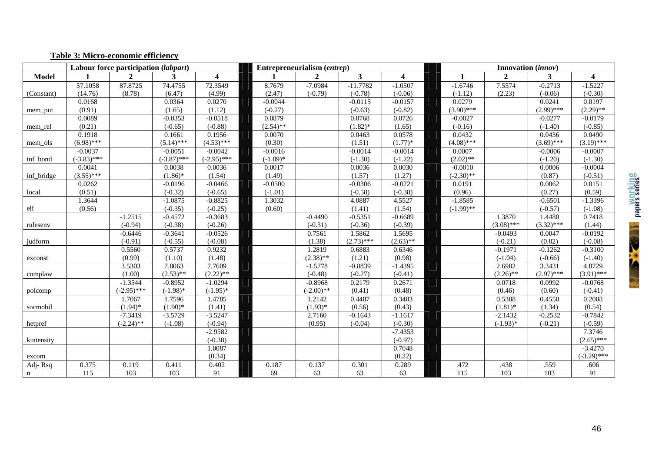#### **Table 3: Micro-economic efficiency**

|              |               | Labour force participation (labpart) |               |                         |             | Entrepreneurialism (entrep) |              |                         | Innovation ( <i>innov</i> ) |              |              |                         |  |
|--------------|---------------|--------------------------------------|---------------|-------------------------|-------------|-----------------------------|--------------|-------------------------|-----------------------------|--------------|--------------|-------------------------|--|
| <b>Model</b> |               | $\mathbf{2}$                         | 3             | $\overline{\mathbf{4}}$ |             | $\overline{2}$              | $\mathbf{3}$ | $\overline{\mathbf{4}}$ | 1                           | $\mathbf{2}$ | $\mathbf{3}$ | $\overline{\mathbf{4}}$ |  |
|              | 57.1058       | 87.8725                              | 74.4755       | 72.3549                 | 8.7679      | $-7.0984$                   | $-11.7782$   | $-1.0507$               | $-1.6746$                   | 7.5574       | $-0.2713$    | $-1.5227$               |  |
| (Constant)   | (14.76)       | (8.78)                               | (6.47)        | (4.99)                  | (2.47)      | $(-0.79)$                   | $(-0.78)$    | $(-0.06)$               | $(-1.12)$                   | (2.23)       | $(-0.06)$    | $(-0.30)$               |  |
|              | 0.0168        |                                      | 0.0364        | 0.0270                  | $-0.0044$   |                             | $-0.0115$    | $-0.0157$               | 0.0279                      |              | 0.0241       | 0.0197                  |  |
| mem_put      | (0.91)        |                                      | (1.65)        | (1.12)                  | $(-0.27)$   |                             | $(-0.63)$    | $(-0.82)$               | $(3.90)$ ***                |              | $(2.99)$ *** | $(2.29)$ **             |  |
|              | 0.0089        |                                      | $-0.0353$     | $-0.0518$               | 0.0879      |                             | 0.0768       | 0.0726                  | $-0.0027$                   |              | $-0.0277$    | $-0.0179$               |  |
| mem_rel      | (0.21)        |                                      | $(-0.65)$     | $(-0.88)$               | $(2.54)$ ** |                             | $(1.82)$ *   | (1.65)                  | $(-0.16)$                   |              | $(-1.40)$    | $(-0.85)$               |  |
|              | 0.1918        |                                      | 0.1661        | 0.1956                  | 0.0070      |                             | 0.0463       | 0.0578                  | 0.0432                      |              | 0.0436       | 0.0490                  |  |
| mem ols      | $(6.98)$ ***  |                                      | $(5.14)$ ***  | $(4.53)$ ***            | (0.30)      |                             | (1.51)       | $(1.77)*$               | $(4.08)$ ***                |              | $(3.69)$ *** | $(3.19)$ ***            |  |
|              | $-0.0037$     |                                      | $-0.0051$     | $-0.0042$               | $-0.0016$   |                             | $-0.0014$    | $-0.0014$               | 0.0007                      |              | $-0.0006$    | $-0.0007$               |  |
| inf_bond     | $(-3.83)$ *** |                                      | $(-3.87)$ *** | $(-2.95)$ ***           | $(-1.89)*$  |                             | $(-1.30)$    | $(-1.22)$               | $(2.02)$ **                 |              | $(-1.20)$    | $(-1.30)$               |  |
|              | 0.0041        |                                      | 0.0038        | 0.0036                  | 0.0017      |                             | 0.0036       | 0.0030                  | $-0.0010$                   |              | 0.0006       | $-0.0004$               |  |
| inf_bridge   | $(3.55)$ ***  |                                      | $(1.86)$ *    | (1.54)                  | (1.49)      |                             | (1.57)       | (1.27)                  | $(-2.30)$ **                |              | (0.87)       | $(-0.51)$               |  |
|              | 0.0262        |                                      | $-0.0196$     | $-0.0466$               | $-0.0500$   |                             | $-0.0306$    | $-0.0221$               | 0.0191                      |              | 0.0062       | 0.0151                  |  |
| local        | (0.51)        |                                      | $(-0.32)$     | $(-0.65)$               | $(-1.01)$   |                             | $(-0.58)$    | $(-0.38)$               | (0.96)                      |              | (0.27)       | (0.59)                  |  |
|              | 1.3644        |                                      | $-1.0875$     | $-0.8825$               | 1.3032      |                             | 4.0887       | 4.5527                  | $-1.8585$                   |              | $-0.6501$    | $-1.3396$               |  |
| elf          | (0.56)        |                                      | $(-0.35)$     | $(-0.25)$               | (0.60)      |                             | (1.41)       | (1.54)                  | $(-1.99)$ **                |              | $(-0.57)$    | $(-1.08)$               |  |
|              |               | $-1.2515$                            | $-0.4572$     | $-0.3683$               |             | $-0.4490$                   | $-0.5351$    | $-0.6689$               |                             | 1.3870       | 1.4480       | 0.7418                  |  |
| rulesenv     |               | $(-0.94)$                            | $(-0.38)$     | $(-0.26)$               |             | $(-0.31)$                   | $(-0.36)$    | $(-0.39)$               |                             | $(3.08)$ *** | $(3.32)$ *** | (1.44)                  |  |
|              |               | $-0.6446$                            | $-0.3641$     | $-0.0526$               |             | 0.7561                      | 1.5862       | 1.5695                  |                             | $-0.0493$    | 0.0047       | $-0.0192$               |  |
| judform      |               | $(-0.91)$                            | $(-0.55)$     | $(-0.08)$               |             | (1.38)                      | $(2.73)$ *** | $(2.63)$ **             |                             | $(-0.21)$    | (0.02)       | $(-0.08)$               |  |
|              |               | 0.5560                               | 0.5737        | 0.9232                  |             | 1.2819                      | 0.6883       | 0.6346                  |                             | $-0.1971$    | $-0.1262$    | $-0.3100$               |  |
| exconst      |               | (0.99)                               | (1.10)        | (1.48)                  |             | $(2.38)$ **                 | (1.21)       | (0.98)                  |                             | $(-1.04)$    | $(-0.66)$    | $(-1.40)$               |  |
|              |               | 3.5303                               | 7.8063        | 7.7609                  |             | $-1.5778$                   | $-0.8839$    | $-1.4395$               |                             | 2.6982       | 3.3431       | 4.8729                  |  |
| complaw      |               | (1.00)                               | $(2.53)$ **   | $(2.22)$ **             |             | $(-0.48)$                   | $(-0.27)$    | $(-0.41)$               |                             | $(2.26)$ **  | $(2.97)$ *** | $(3.91)$ ***            |  |
|              |               | $-1.3544$                            | $-0.8952$     | $-1.0294$               |             | $-0.8968$                   | 0.2179       | 0.2671                  |                             | 0.0718       | 0.0992       | $-0.0768$               |  |
| polcomp      |               | $(-2.95)$ ***                        | $(-1.98)$ *   | $(-1.95)*$              |             | $(-2.00)$ **                | (0.41)       | (0.48)                  |                             | (0.46)       | (0.60)       | $(-0.41)$               |  |
|              |               | 1.7067                               | 1.7596        | 1.4785                  |             | 1.2142                      | 0.4407       | 0.3403                  |                             | 0.5388       | 0.4550       | 0.2008                  |  |
| socmobil     |               | $(1.94)$ *                           | $(1.90)$ *    | (1.41)                  |             | $(1.93)*$                   | (0.56)       | (0.43)                  |                             | $(1.81)$ *   | (1.34)       | (0.54)                  |  |
|              |               | $-7.3419$                            | $-3.5729$     | $-3.5247$               |             | 2.7160                      | $-0.1643$    | $-1.1617$               |                             | $-2.1432$    | $-0.2532$    | $-0.7842$               |  |
| hetpref      |               | $(-2.24)$ **                         | $(-1.08)$     | $(-0.94)$               |             | (0.95)                      | $(-0.04)$    | $(-0.30)$               |                             | $(-1.93)*$   | $(-0.21)$    | $(-0.59)$               |  |
|              |               |                                      |               | $-2.9582$               |             |                             |              | $-7.4353$               |                             |              |              | 7.3746                  |  |
| kintensity   |               |                                      |               | $(-0.38)$               |             |                             |              | $(-0.97)$               |                             |              |              | $(2.65)$ ***            |  |
|              |               |                                      |               | 1.0087                  |             |                             |              | 0.7048                  |                             |              |              | $-3.4270$               |  |
| excom        |               |                                      |               | (0.34)                  |             |                             |              | (0.22)                  |                             |              |              | $(-3.29)$ ***           |  |
| Adj-Rsq      | 0.375         | 0.119                                | 0.411         | 0.402                   | 0.187       | 0.137                       | 0.301        | 0.289                   | .472                        | .438         | .559         | .606                    |  |
| $\mathbf n$  | 115           | 103                                  | 103           | 91                      | 69          | 63                          | 63           | 63                      | 115                         | 103          | 103          | $\overline{91}$         |  |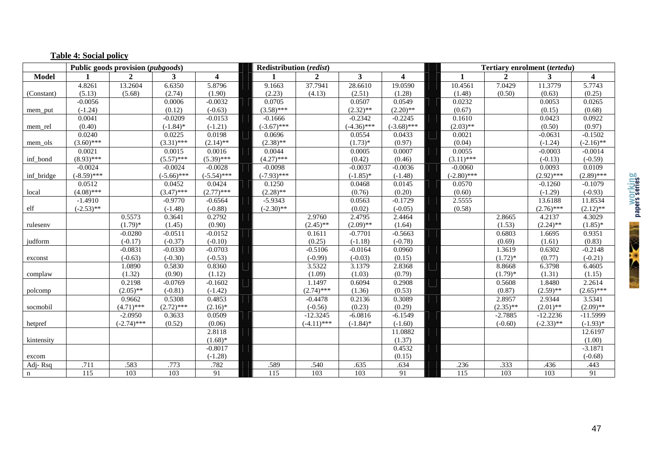|              |               | Public goods provision (pubgoods) |               |               | <b>Redistribution</b> (redist) |                |               |                         | Tertiary enrolment (tertedu) |              |              |                         |  |
|--------------|---------------|-----------------------------------|---------------|---------------|--------------------------------|----------------|---------------|-------------------------|------------------------------|--------------|--------------|-------------------------|--|
| <b>Model</b> |               | $\overline{2}$                    | 3             | 4             |                                | $\overline{2}$ | 3             | $\overline{\mathbf{4}}$ |                              | $\mathbf{2}$ | 3            | $\overline{\mathbf{4}}$ |  |
|              | 4.8261        | 13.2604                           | 6.6350        | 5.8796        | 9.1663                         | 37.7941        | 28.6610       | 19.0590                 | 10.4561                      | 7.0429       | 11.3779      | 5.7743                  |  |
| (Constant)   | (5.13)        | (5.68)                            | (2.74)        | (1.90)        | (2.23)                         | (4.13)         | (2.51)        | (1.28)                  | (1.48)                       | (0.50)       | (0.63)       | (0.25)                  |  |
|              | $-0.0056$     |                                   | 0.0006        | $-0.0032$     | 0.0705                         |                | 0.0507        | 0.0549                  | 0.0232                       |              | 0.0053       | 0.0265                  |  |
| mem_put      | $(-1.24)$     |                                   | (0.12)        | $(-0.63)$     | $(3.58)$ ***                   |                | $(2.32)$ **   | $(2.20)$ **             | (0.67)                       |              | (0.15)       | (0.68)                  |  |
|              | 0.0041        |                                   | $-0.0209$     | $-0.0153$     | $-0.1666$                      |                | $-0.2342$     | $-0.2245$               | 0.1610                       |              | 0.0423       | 0.0922                  |  |
| mem rel      | (0.40)        |                                   | $(-1.84)$ *   | $(-1.21)$     | $(-3.67)$ ***                  |                | $(-4.36)$ *** | $(-3.68)$ ***           | $(2.03)$ **                  |              | (0.50)       | (0.97)                  |  |
|              | 0.0240        |                                   | 0.0225        | 0.0198        | 0.0696                         |                | 0.0554        | 0.0433                  | 0.0021                       |              | $-0.0631$    | $-0.1502$               |  |
| mem_ols      | $(3.60)$ ***  |                                   | $(3.31)$ ***  | $(2.14)$ **   | $(2.38)$ **                    |                | $(1.73)*$     | (0.97)                  | (0.04)                       |              | $(-1.24)$    | $(-2.16)$ **            |  |
|              | 0.0021        |                                   | 0.0015        | 0.0016        | 0.0044                         |                | 0.0005        | 0.0007                  | 0.0055                       |              | $-0.0003$    | $-0.0014$               |  |
| inf bond     | $(8.93)$ ***  |                                   | $(5.57)$ ***  | $(5.39)$ ***  | $(4.27)$ ***                   |                | (0.42)        | (0.46)                  | $(3.11)$ ***                 |              | $(-0.13)$    | $(-0.59)$               |  |
|              | $-0.0024$     |                                   | $-0.0024$     | $-0.0028$     | $-0.0098$                      |                | $-0.0037$     | $-0.0036$               | $-0.0060$                    |              | 0.0093       | 0.0109                  |  |
| inf_bridge   | $(-8.59)$ *** |                                   | $(-5.66)$ *** | $(-5.54)$ *** | $(-7.93)$ ***                  |                | $(-1.85)$ *   | $(-1.48)$               | $(-2.80)$ ***                |              | $(2.92)$ *** | $(2.89)$ ***            |  |
|              | 0.0512        |                                   | 0.0452        | 0.0424        | 0.1250                         |                | 0.0468        | 0.0145                  | 0.0570                       |              | $-0.1260$    | $-0.1079$               |  |
| local        | $(4.08)$ ***  |                                   | $(3.47)$ ***  | $(2.77)$ ***  | $(2.28)$ **                    |                | (0.76)        | (0.20)                  | (0.60)                       |              | $(-1.29)$    | $(-0.93)$               |  |
|              | $-1.4910$     |                                   | $-0.9770$     | $-0.6564$     | $-5.9343$                      |                | 0.0563        | $-0.1729$               | 2.5555                       |              | 13.6188      | 11.8534                 |  |
| elf          | $(-2.53)$ **  |                                   | $(-1.48)$     | $(-0.88)$     | $(-2.30)$ **                   |                | (0.02)        | $(-0.05)$               | (0.58)                       |              | $(2.76)$ *** | $(2.12)$ **             |  |
|              |               | 0.5573                            | 0.3641        | 0.2792        |                                | 2.9760         | 2.4795        | 2.4464                  |                              | 2.8665       | 4.2137       | 4.3029                  |  |
| rulesenv     |               | $(1.79)*$                         | (1.45)        | (0.90)        |                                | $(2.45)$ **    | $(2.09)$ **   | (1.64)                  |                              | (1.53)       | $(2.24)$ **  | $(1.85)^*$              |  |
|              |               | $-0.0280$                         | $-0.0511$     | $-0.0152$     |                                | 0.1611         | $-0.7701$     | $-0.5663$               |                              | 0.6803       | 1.6695       | 0.9351                  |  |
| judform      |               | $(-0.17)$                         | $(-0.37)$     | $(-0.10)$     |                                | (0.25)         | $(-1.18)$     | $(-0.78)$               |                              | (0.69)       | (1.61)       | (0.83)                  |  |
|              |               | $-0.0831$                         | $-0.0330$     | $-0.0703$     |                                | $-0.5106$      | $-0.0164$     | 0.0960                  |                              | 1.3619       | 0.6302       | $-0.2148$               |  |
| exconst      |               | $(-0.63)$                         | $(-0.30)$     | $(-0.53)$     |                                | $(-0.99)$      | $(-0.03)$     | (0.15)                  |                              | $(1.72)*$    | (0.77)       | $(-0.21)$               |  |
|              |               | 1.0890                            | 0.5830        | 0.8360        |                                | 3.5322         | 3.1379        | 2.8368                  |                              | 8.8668       | 6.3798       | 6.4605                  |  |
| complaw      |               | (1.32)                            | (0.90)        | (1.12)        |                                | (1.09)         | (1.03)        | (0.79)                  |                              | $(1.79)*$    | (1.31)       | (1.15)                  |  |
|              |               | 0.2198                            | $-0.0769$     | $-0.1602$     |                                | 1.1497         | 0.6094        | 0.2908                  |                              | 0.5608       | 1.8480       | 2.2614                  |  |
| polcomp      |               | $(2.05)$ **                       | $(-0.81)$     | $(-1.42)$     |                                | $(2.74)$ ***   | (1.36)        | (0.53)                  |                              | (0.87)       | $(2.59)$ **  | $(2.65)$ ***            |  |
|              |               | 0.9662                            | 0.5308        | 0.4853        |                                | $-0.4478$      | 0.2136        | 0.3089                  |                              | 2.8957       | 2.9344       | 3.5341                  |  |
| socmobil     |               | $(4.71)$ ***                      | $(2.72)$ ***  | $(2.16)^*$    |                                | $(-0.56)$      | (0.23)        | (0.29)                  |                              | $(2.35)$ **  | $(2.01)$ **  | $(2.09)$ **             |  |
|              |               | $-2.0950$                         | 0.3633        | 0.0509        |                                | $-12.3245$     | $-6.0816$     | $-6.1549$               |                              | $-2.7885$    | $-12.2236$   | $-11.5999$              |  |
| hetpref      |               | $(-2.74)$ ***                     | (0.52)        | (0.06)        |                                | $(-4.11)$ ***  | $(-1.84)$ *   | $(-1.60)$               |                              | $(-0.60)$    | $(-2.33)$ ** | $(-1.93)*$              |  |
|              |               |                                   |               | 2.8118        |                                |                |               | 11.0882                 |                              |              |              | 12.6197                 |  |
| kintensity   |               |                                   |               | $(1.68)$ *    |                                |                |               | (1.37)                  |                              |              |              | (1.00)                  |  |
|              |               |                                   |               | $-0.8017$     |                                |                |               | 0.4532                  |                              |              |              | $-3.1871$               |  |
| excom        |               |                                   |               | $(-1.28)$     |                                |                |               | (0.15)                  |                              |              |              | $(-0.68)$               |  |
| Adj-Rsq      | .711          | .583                              | .773          | .782          | .589                           | .540           | .635          | .634                    | .236                         | .333         | .436         | .443                    |  |
| $\mathbf n$  | 115           | 103                               | 103           | 91            | 115                            | 103            | 103           | 91                      | 115                          | 103          | 103          | 91                      |  |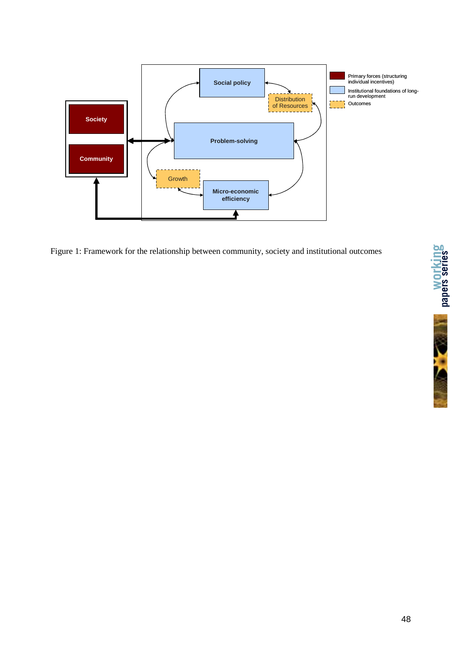

Figure 1: Framework for the relationship between community, society and institutional outcomes